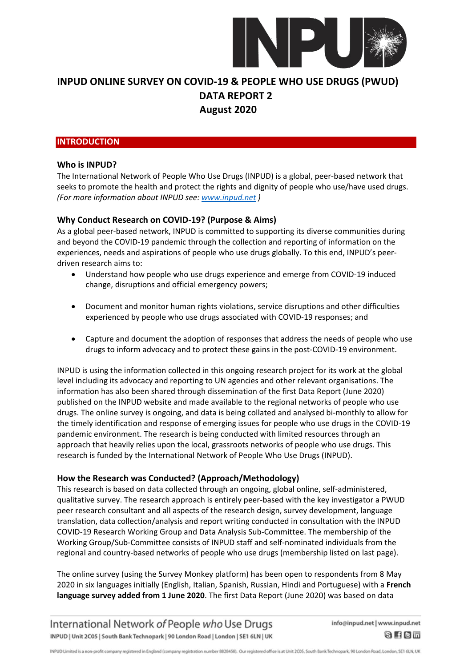

#### **INTRODUCTION**

#### **Who is INPUD?**

The International Network of People Who Use Drugs (INPUD) is a global, peer-based network that seeks to promote the health and protect the rights and dignity of people who use/have used drugs. *(For more information about INPUD see: [www.inpud.net](about:blank) )*

### **Why Conduct Research on COVID-19? (Purpose & Aims)**

As a global peer-based network, INPUD is committed to supporting its diverse communities during and beyond the COVID-19 pandemic through the collection and reporting of information on the experiences, needs and aspirations of people who use drugs globally. To this end, INPUD's peerdriven research aims to:

- Understand how people who use drugs experience and emerge from COVID-19 induced change, disruptions and official emergency powers;
- Document and monitor human rights violations, service disruptions and other difficulties experienced by people who use drugs associated with COVID-19 responses; and
- Capture and document the adoption of responses that address the needs of people who use drugs to inform advocacy and to protect these gains in the post-COVID-19 environment.

INPUD is using the information collected in this ongoing research project for its work at the global level including its advocacy and reporting to UN agencies and other relevant organisations. The information has also been shared through dissemination of the first Data Report (June 2020) published on the INPUD website and made available to the regional networks of people who use drugs. The online survey is ongoing, and data is being collated and analysed bi-monthly to allow for the timely identification and response of emerging issues for people who use drugs in the COVID-19 pandemic environment. The research is being conducted with limited resources through an approach that heavily relies upon the local, grassroots networks of people who use drugs. This research is funded by the International Network of People Who Use Drugs (INPUD).

### **How the Research was Conducted? (Approach/Methodology)**

This research is based on data collected through an ongoing, global online, self-administered, qualitative survey. The research approach is entirely peer-based with the key investigator a PWUD peer research consultant and all aspects of the research design, survey development, language translation, data collection/analysis and report writing conducted in consultation with the INPUD COVID-19 Research Working Group and Data Analysis Sub-Committee. The membership of the Working Group/Sub-Committee consists of INPUD staff and self-nominated individuals from the regional and country-based networks of people who use drugs (membership listed on last page).

The online survey (using the Survey Monkey platform) has been open to respondents from 8 May 2020 in six languages initially (English, Italian, Spanish, Russian, Hindi and Portuguese) with a **French language survey added from 1 June 2020**. The first Data Report (June 2020) was based on data

International Network of People who Use Drugs INPUD | Unit 2C05 | South Bank Technopark | 90 London Road | London | SE1 6LN | UK

info@inpud.net | www.inpud.net 8 f 8 m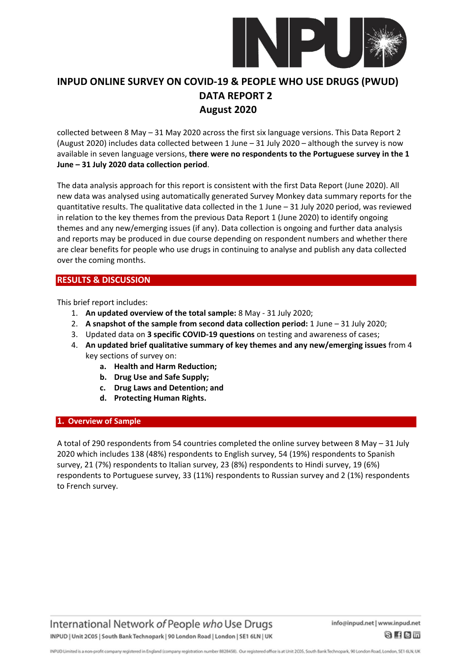

collected between 8 May – 31 May 2020 across the first six language versions. This Data Report 2 (August 2020) includes data collected between 1 June – 31 July 2020 – although the survey is now available in seven language versions, **there were no respondents to the Portuguese survey in the 1 June – 31 July 2020 data collection period**.

The data analysis approach for this report is consistent with the first Data Report (June 2020). All new data was analysed using automatically generated Survey Monkey data summary reports for the quantitative results. The qualitative data collected in the 1 June – 31 July 2020 period, was reviewed in relation to the key themes from the previous Data Report 1 (June 2020) to identify ongoing themes and any new/emerging issues (if any). Data collection is ongoing and further data analysis and reports may be produced in due course depending on respondent numbers and whether there are clear benefits for people who use drugs in continuing to analyse and publish any data collected over the coming months.

# **RESULTS & DISCUSSION**

This brief report includes:

- 1. **An updated overview of the total sample:** 8 May 31 July 2020;
- 2. **A snapshot of the sample from second data collection period:** 1 June 31 July 2020;
- 3. Updated data on **3 specific COVID-19 questions** on testing and awareness of cases;
- 4. **An updated brief qualitative summary of key themes and any new/emerging issues** from 4 key sections of survey on:
	- **a. Health and Harm Reduction;**
	- **b. Drug Use and Safe Supply;**
	- **c. Drug Laws and Detention; and**
	- **d. Protecting Human Rights.**

#### **1. Overview of Sample**

A total of 290 respondents from 54 countries completed the online survey between 8 May – 31 July 2020 which includes 138 (48%) respondents to English survey, 54 (19%) respondents to Spanish survey, 21 (7%) respondents to Italian survey, 23 (8%) respondents to Hindi survey, 19 (6%) respondents to Portuguese survey, 33 (11%) respondents to Russian survey and 2 (1%) respondents to French survey.

International Network of People who Use Drugs INPUD | Unit 2C05 | South Bank Technopark | 90 London Road | London | SE1 6LN | UK

INPUD Limited is a non-profit company registered in England (company registration number 8828458). Our registered office is at Unit 2005, South Bank Technopark, 90 London Road, London, SE1 6LN, UK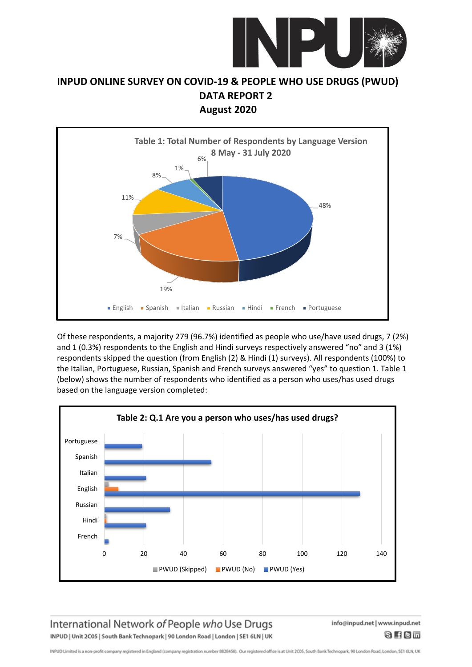



Of these respondents, a majority 279 (96.7%) identified as people who use/have used drugs, 7 (2%) and 1 (0.3%) respondents to the English and Hindi surveys respectively answered "no" and 3 (1%) respondents skipped the question (from English (2) & Hindi (1) surveys). All respondents (100%) to the Italian, Portuguese, Russian, Spanish and French surveys answered "yes" to question 1. Table 1 (below) shows the number of respondents who identified as a person who uses/has used drugs based on the language version completed:



International Network of People who Use Drugs INPUD | Unit 2C05 | South Bank Technopark | 90 London Road | London | SE1 6LN | UK info@inpud.net | www.inpud.net  $8$  fem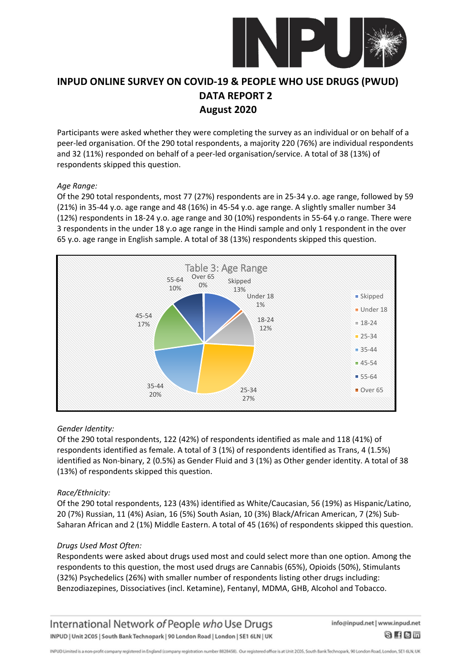

Participants were asked whether they were completing the survey as an individual or on behalf of a peer-led organisation. Of the 290 total respondents, a majority 220 (76%) are individual respondents and 32 (11%) responded on behalf of a peer-led organisation/service. A total of 38 (13%) of respondents skipped this question.

#### *Age Range:*

Of the 290 total respondents, most 77 (27%) respondents are in 25-34 y.o. age range, followed by 59 (21%) in 35-44 y.o. age range and 48 (16%) in 45-54 y.o. age range. A slightly smaller number 34 (12%) respondents in 18-24 y.o. age range and 30 (10%) respondents in 55-64 y.o range. There were 3 respondents in the under 18 y.o age range in the Hindi sample and only 1 respondent in the over 65 y.o. age range in English sample. A total of 38 (13%) respondents skipped this question.



#### *Gender Identity:*

Of the 290 total respondents, 122 (42%) of respondents identified as male and 118 (41%) of respondents identified as female. A total of 3 (1%) of respondents identified as Trans, 4 (1.5%) identified as Non-binary, 2 (0.5%) as Gender Fluid and 3 (1%) as Other gender identity. A total of 38 (13%) of respondents skipped this question.

#### *Race/Ethnicity:*

Of the 290 total respondents, 123 (43%) identified as White/Caucasian, 56 (19%) as Hispanic/Latino, 20 (7%) Russian, 11 (4%) Asian, 16 (5%) South Asian, 10 (3%) Black/African American, 7 (2%) Sub-Saharan African and 2 (1%) Middle Eastern. A total of 45 (16%) of respondents skipped this question.

#### *Drugs Used Most Often:*

Respondents were asked about drugs used most and could select more than one option. Among the respondents to this question, the most used drugs are Cannabis (65%), Opioids (50%), Stimulants (32%) Psychedelics (26%) with smaller number of respondents listing other drugs including: Benzodiazepines, Dissociatives (incl. Ketamine), Fentanyl, MDMA, GHB, Alcohol and Tobacco.

### International Network of People who Use Drugs INPUD | Unit 2C05 | South Bank Technopark | 90 London Road | London | SE1 6LN | UK

info@inpud.net | www.inpud.net 8 f 8 m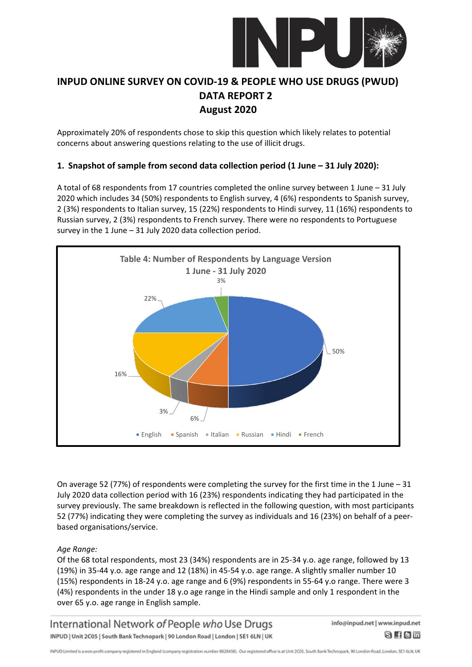

Approximately 20% of respondents chose to skip this question which likely relates to potential concerns about answering questions relating to the use of illicit drugs.

### **1. Snapshot of sample from second data collection period (1 June – 31 July 2020):**

A total of 68 respondents from 17 countries completed the online survey between 1 June – 31 July 2020 which includes 34 (50%) respondents to English survey, 4 (6%) respondents to Spanish survey, 2 (3%) respondents to Italian survey, 15 (22%) respondents to Hindi survey, 11 (16%) respondents to Russian survey, 2 (3%) respondents to French survey. There were no respondents to Portuguese survey in the 1 June – 31 July 2020 data collection period.



On average 52 (77%) of respondents were completing the survey for the first time in the 1 June – 31 July 2020 data collection period with 16 (23%) respondents indicating they had participated in the survey previously. The same breakdown is reflected in the following question, with most participants 52 (77%) indicating they were completing the survey as individuals and 16 (23%) on behalf of a peerbased organisations/service.

### *Age Range:*

Of the 68 total respondents, most 23 (34%) respondents are in 25-34 y.o. age range, followed by 13 (19%) in 35-44 y.o. age range and 12 (18%) in 45-54 y.o. age range. A slightly smaller number 10 (15%) respondents in 18-24 y.o. age range and 6 (9%) respondents in 55-64 y.o range. There were 3 (4%) respondents in the under 18 y.o age range in the Hindi sample and only 1 respondent in the over 65 y.o. age range in English sample.

International Network of People who Use Drugs INPUD | Unit 2C05 | South Bank Technopark | 90 London Road | London | SE1 6LN | UK info@inpud.net | www.inpud.net

8 f 8 m

INPUD Limited is a non-profit company registered in England (company registration number 8828458). Our registered office is at Unit 2005, South Bank Technopark, 90 London Road, London, SE1 6LN, UK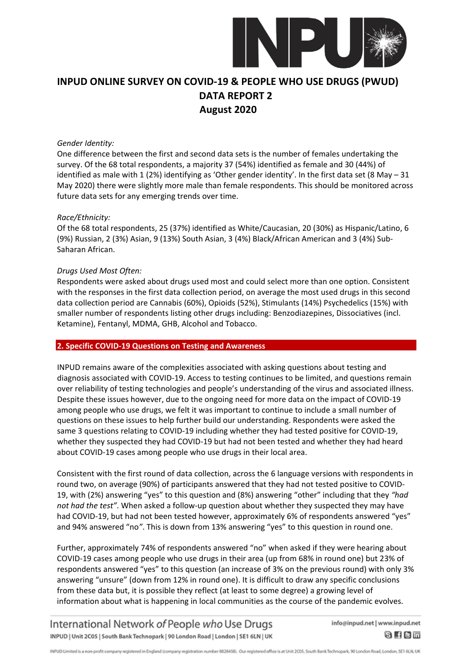

#### *Gender Identity:*

One difference between the first and second data sets is the number of females undertaking the survey. Of the 68 total respondents, a majority 37 (54%) identified as female and 30 (44%) of identified as male with 1 (2%) identifying as 'Other gender identity'. In the first data set (8 May – 31 May 2020) there were slightly more male than female respondents. This should be monitored across future data sets for any emerging trends over time.

#### *Race/Ethnicity:*

Of the 68 total respondents, 25 (37%) identified as White/Caucasian, 20 (30%) as Hispanic/Latino, 6 (9%) Russian, 2 (3%) Asian, 9 (13%) South Asian, 3 (4%) Black/African American and 3 (4%) Sub-Saharan African.

#### *Drugs Used Most Often:*

Respondents were asked about drugs used most and could select more than one option. Consistent with the responses in the first data collection period, on average the most used drugs in this second data collection period are Cannabis (60%), Opioids (52%), Stimulants (14%) Psychedelics (15%) with smaller number of respondents listing other drugs including: Benzodiazepines, Dissociatives (incl. Ketamine), Fentanyl, MDMA, GHB, Alcohol and Tobacco.

#### **2. Specific COVID-19 Questions on Testing and Awareness**

INPUD remains aware of the complexities associated with asking questions about testing and diagnosis associated with COVID-19. Access to testing continues to be limited, and questions remain over reliability of testing technologies and people's understanding of the virus and associated illness. Despite these issues however, due to the ongoing need for more data on the impact of COVID-19 among people who use drugs, we felt it was important to continue to include a small number of questions on these issues to help further build our understanding. Respondents were asked the same 3 questions relating to COVID-19 including whether they had tested positive for COVID-19, whether they suspected they had COVID-19 but had not been tested and whether they had heard about COVID-19 cases among people who use drugs in their local area.

Consistent with the first round of data collection, across the 6 language versions with respondents in round two, on average (90%) of participants answered that they had not tested positive to COVID-19, with (2%) answering "yes" to this question and (8%) answering "other" including that they *"had not had the test"*. When asked a follow-up question about whether they suspected they may have had COVID-19, but had not been tested however, approximately 6% of respondents answered "yes" and 94% answered "no*"*. This is down from 13% answering "yes" to this question in round one.

Further, approximately 74% of respondents answered "no" when asked if they were hearing about COVID-19 cases among people who use drugs in their area (up from 68% in round one) but 23% of respondents answered "yes" to this question (an increase of 3% on the previous round) with only 3% answering "unsure" (down from 12% in round one). It is difficult to draw any specific conclusions from these data but, it is possible they reflect (at least to some degree) a growing level of information about what is happening in local communities as the course of the pandemic evolves.

International Network of People who Use Drugs INPUD | Unit 2C05 | South Bank Technopark | 90 London Road | London | SE1 6LN | UK info@inpud.net | www.inpud.net

8 f 8 m

INPUD Limited is a non-profit company registered in England (company registration number 8828458). Our registered office is at Unit 2005, South Bank Technopark, 90 London Road, London, SE1 6LN, UK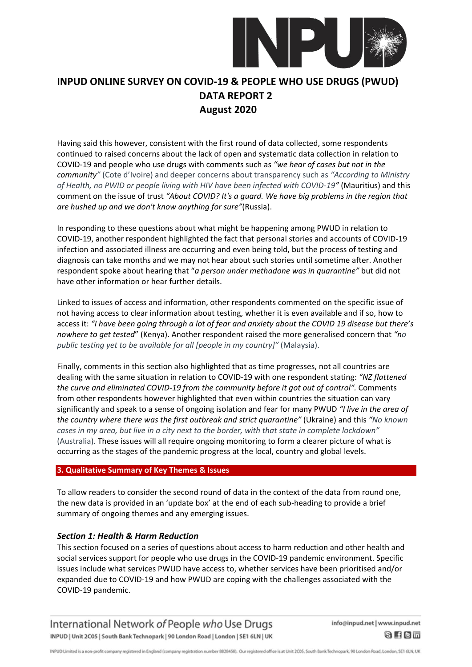

Having said this however, consistent with the first round of data collected, some respondents continued to raised concerns about the lack of open and systematic data collection in relation to COVID-19 and people who use drugs with comments such as *"we hear of cases but not in the community"* (Cote d'Ivoire) and deeper concerns about transparency such as *"According to Ministry of Health, no PWID or people living with HIV have been infected with COVID-19"* (Mauritius) and this comment on the issue of trust *"About COVID? It's a guard. We have big problems in the region that are hushed up and we don't know anything for sure"*(Russia).

In responding to these questions about what might be happening among PWUD in relation to COVID-19, another respondent highlighted the fact that personal stories and accounts of COVID-19 infection and associated illness are occurring and even being told, but the process of testing and diagnosis can take months and we may not hear about such stories until sometime after. Another respondent spoke about hearing that "*a person under methadone was in quarantine"* but did not have other information or hear further details.

Linked to issues of access and information, other respondents commented on the specific issue of not having access to clear information about testing, whether it is even available and if so, how to access it: *"I have been going through a lot of fear and anxiety about the COVID 19 disease but there's nowhere to get tested*" (Kenya). Another respondent raised the more generalised concern that *"no public testing yet to be available for all [people in my country]"* (Malaysia).

Finally, comments in this section also highlighted that as time progresses, not all countries are dealing with the same situation in relation to COVID-19 with one respondent stating: *"NZ flattened the curve and eliminated COVID-19 from the community before it got out of control".* Comments from other respondents however highlighted that even within countries the situation can vary significantly and speak to a sense of ongoing isolation and fear for many PWUD *"I live in the area of the country where there was the first outbreak and strict quarantine"* (Ukraine) and this *"No known cases in my area, but live in a city next to the border, with that state in complete lockdown"* (Australia)*.* These issues will all require ongoing monitoring to form a clearer picture of what is occurring as the stages of the pandemic progress at the local, country and global levels.

#### **3. Qualitative Summary of Key Themes & Issues**

To allow readers to consider the second round of data in the context of the data from round one, the new data is provided in an 'update box' at the end of each sub-heading to provide a brief summary of ongoing themes and any emerging issues.

### *Section 1: Health & Harm Reduction*

This section focused on a series of questions about access to harm reduction and other health and social services support for people who use drugs in the COVID-19 pandemic environment. Specific issues include what services PWUD have access to, whether services have been prioritised and/or expanded due to COVID-19 and how PWUD are coping with the challenges associated with the COVID-19 pandemic.

International Network of People who Use Drugs INPUD | Unit 2C05 | South Bank Technopark | 90 London Road | London | SE1 6LN | UK

info@inpud.net | www.inpud.net 8 f 8 m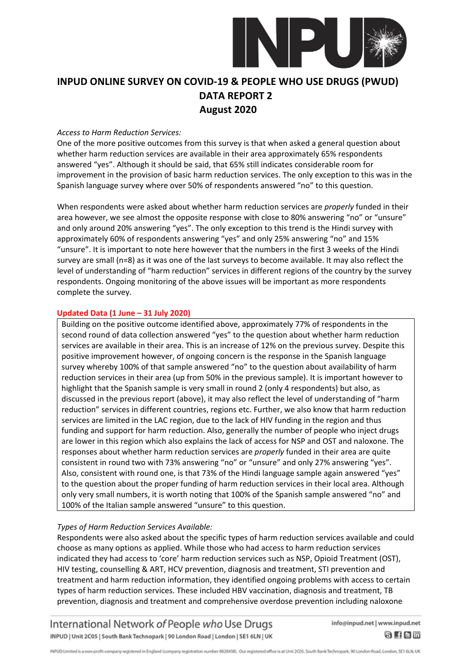

#### *Access to Harm Reduction Services:*

One of the more positive outcomes from this survey is that when asked a general question about whether harm reduction services are available in their area approximately 65% respondents answered "yes". Although it should be said, that 65% still indicates considerable room for improvement in the provision of basic harm reduction services. The only exception to this was in the Spanish language survey where over 50% of respondents answered "no" to this question.

When respondents were asked about whether harm reduction services are *properly* funded in their area however, we see almost the opposite response with close to 80% answering "no" or "unsure" and only around 20% answering "yes". The only exception to this trend is the Hindi survey with approximately 60% of respondents answering "yes" and only 25% answering "no" and 15% "unsure". It is important to note here however that the numbers in the first 3 weeks of the Hindi survey are small (n=8) as it was one of the last surveys to become available. It may also reflect the level of understanding of "harm reduction" services in different regions of the country by the survey respondents. Ongoing monitoring of the above issues will be important as more respondents complete the survey.

#### **Updated Data (1 June – 31 July 2020)**

Building on the positive outcome identified above, approximately 77% of respondents in the second round of data collection answered "yes" to the question about whether harm reduction services are available in their area. This is an increase of 12% on the previous survey. Despite this positive improvement however, of ongoing concern is the response in the Spanish language survey whereby 100% of that sample answered "no" to the question about availability of harm reduction services in their area (up from 50% in the previous sample). It is important however to highlight that the Spanish sample is very small in round 2 (only 4 respondents) but also, as discussed in the previous report (above), it may also reflect the level of understanding of "harm reduction" services in different countries, regions etc. Further, we also know that harm reduction services are limited in the LAC region, due to the lack of HIV funding in the region and thus funding and support for harm reduction. Also, generally the number of people who inject drugs are lower in this region which also explains the lack of access for NSP and OST and naloxone. The responses about whether harm reduction services are *properly* funded in their area are quite consistent in round two with 73% answering "no" or "unsure" and only 27% answering "yes". Also, consistent with round one, is that 73% of the Hindi language sample again answered "yes" to the question about the proper funding of harm reduction services in their local area. Although only very small numbers, it is worth noting that 100% of the Spanish sample answered "no" and 100% of the Italian sample answered "unsure" to this question.

#### *Types of Harm Reduction Services Available:*

Respondents were also asked about the specific types of harm reduction services available and could choose as many options as applied. While those who had access to harm reduction services indicated they had access to 'core' harm reduction services such as NSP, Opioid Treatment (OST), HIV testing, counselling & ART, HCV prevention, diagnosis and treatment, STI prevention and treatment and harm reduction information, they identified ongoing problems with access to certain types of harm reduction services. These included HBV vaccination, diagnosis and treatment, TB prevention, diagnosis and treatment and comprehensive overdose prevention including naloxone

International Network of People who Use Drugs INPUD | Unit 2C05 | South Bank Technopark | 90 London Road | London | SE1 6LN | UK

info@inpud.net | www.inpud.net

 $8$  fem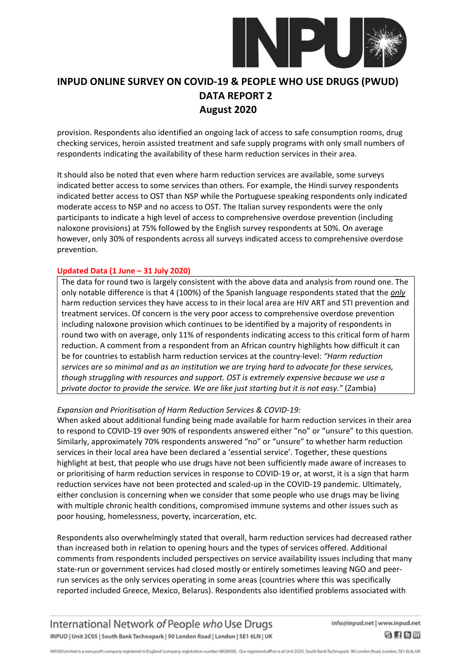

provision. Respondents also identified an ongoing lack of access to safe consumption rooms, drug checking services, heroin assisted treatment and safe supply programs with only small numbers of respondents indicating the availability of these harm reduction services in their area.

It should also be noted that even where harm reduction services are available, some surveys indicated better access to some services than others. For example, the Hindi survey respondents indicated better access to OST than NSP while the Portuguese speaking respondents only indicated moderate access to NSP and no access to OST. The Italian survey respondents were the only participants to indicate a high level of access to comprehensive overdose prevention (including naloxone provisions) at 75% followed by the English survey respondents at 50%. On average however, only 30% of respondents across all surveys indicated access to comprehensive overdose prevention.

### **Updated Data (1 June – 31 July 2020)**

The data for round two is largely consistent with the above data and analysis from round one. The only notable difference is that 4 (100%) of the Spanish language respondents stated that the *only* harm reduction services they have access to in their local area are HIV ART and STI prevention and treatment services. Of concern is the very poor access to comprehensive overdose prevention including naloxone provision which continues to be identified by a majority of respondents in round two with on average, only 11% of respondents indicating access to this critical form of harm reduction. A comment from a respondent from an African country highlights how difficult it can be for countries to establish harm reduction services at the country-level: *"Harm reduction services are so minimal and as an institution we are trying hard to advocate for these services, though struggling with resources and support. OST is extremely expensive because we use a private doctor to provide the service. We are like just starting but it is not easy."* (Zambia)

#### *Expansion and Prioritisation of Harm Reduction Services & COVID-19:*

When asked about additional funding being made available for harm reduction services in their area to respond to COVID-19 over 90% of respondents answered either "no" or "unsure" to this question. Similarly, approximately 70% respondents answered "no" or "unsure" to whether harm reduction services in their local area have been declared a 'essential service'. Together, these questions highlight at best, that people who use drugs have not been sufficiently made aware of increases to or prioritising of harm reduction services in response to COVID-19 or, at worst, it is a sign that harm reduction services have not been protected and scaled-up in the COVID-19 pandemic. Ultimately, either conclusion is concerning when we consider that some people who use drugs may be living with multiple chronic health conditions, compromised immune systems and other issues such as poor housing, homelessness, poverty, incarceration, etc.

Respondents also overwhelmingly stated that overall, harm reduction services had decreased rather than increased both in relation to opening hours and the types of services offered. Additional comments from respondents included perspectives on service availability issues including that many state-run or government services had closed mostly or entirely sometimes leaving NGO and peerrun services as the only services operating in some areas (countries where this was specifically reported included Greece, Mexico, Belarus). Respondents also identified problems associated with

International Network of People who Use Drugs INPUD | Unit 2C05 | South Bank Technopark | 90 London Road | London | SE1 6LN | UK

info@inpud.net | www.inpud.net

8 f 8 m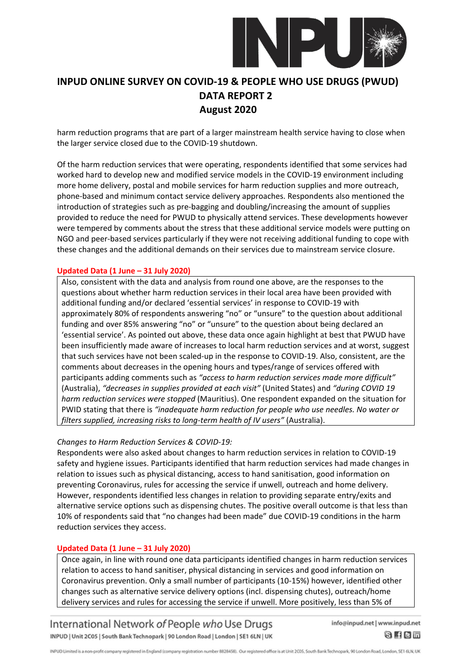

harm reduction programs that are part of a larger mainstream health service having to close when the larger service closed due to the COVID-19 shutdown.

Of the harm reduction services that were operating, respondents identified that some services had worked hard to develop new and modified service models in the COVID-19 environment including more home delivery, postal and mobile services for harm reduction supplies and more outreach, phone-based and minimum contact service delivery approaches. Respondents also mentioned the introduction of strategies such as pre-bagging and doubling/increasing the amount of supplies provided to reduce the need for PWUD to physically attend services. These developments however were tempered by comments about the stress that these additional service models were putting on NGO and peer-based services particularly if they were not receiving additional funding to cope with these changes and the additional demands on their services due to mainstream service closure.

#### **Updated Data (1 June – 31 July 2020)**

Also, consistent with the data and analysis from round one above, are the responses to the questions about whether harm reduction services in their local area have been provided with additional funding and/or declared 'essential services' in response to COVID-19 with approximately 80% of respondents answering "no" or "unsure" to the question about additional funding and over 85% answering "no" or "unsure" to the question about being declared an 'essential service'. As pointed out above, these data once again highlight at best that PWUD have been insufficiently made aware of increases to local harm reduction services and at worst, suggest that such services have not been scaled-up in the response to COVID-19. Also, consistent, are the comments about decreases in the opening hours and types/range of services offered with participants adding comments such as *"access to harm reduction services made more difficult"* (Australia), *"decreases in supplies provided at each visit"* (United States) and *"during COVID 19 harm reduction services were stopped* (Mauritius). One respondent expanded on the situation for PWID stating that there is *"inadequate harm reduction for people who use needles. No water or filters supplied, increasing risks to long-term health of IV users"* (Australia).

#### *Changes to Harm Reduction Services & COVID-19:*

Respondents were also asked about changes to harm reduction services in relation to COVID-19 safety and hygiene issues. Participants identified that harm reduction services had made changes in relation to issues such as physical distancing, access to hand sanitisation, good information on preventing Coronavirus, rules for accessing the service if unwell, outreach and home delivery. However, respondents identified less changes in relation to providing separate entry/exits and alternative service options such as dispensing chutes. The positive overall outcome is that less than 10% of respondents said that "no changes had been made" due COVID-19 conditions in the harm reduction services they access.

#### **Updated Data (1 June – 31 July 2020)**

Once again, in line with round one data participants identified changes in harm reduction services relation to access to hand sanitiser, physical distancing in services and good information on Coronavirus prevention. Only a small number of participants (10-15%) however, identified other changes such as alternative service delivery options (incl. dispensing chutes), outreach/home delivery services and rules for accessing the service if unwell. More positively, less than 5% of

International Network of People who Use Drugs INPUD | Unit 2C05 | South Bank Technopark | 90 London Road | London | SE1 6LN | UK

info@inpud.net | www.inpud.net

 $8$  fem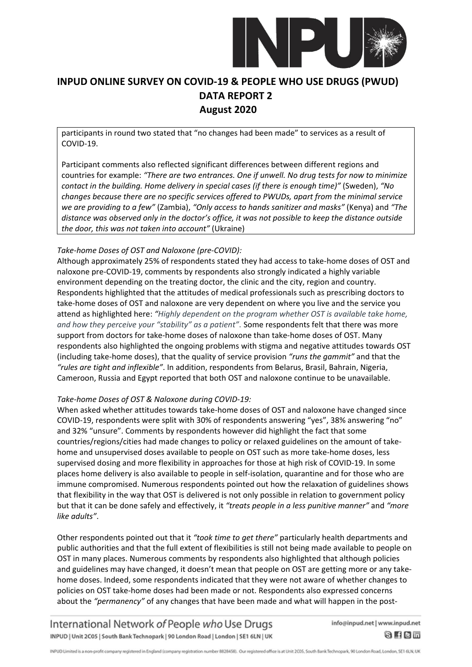

participants in round two stated that "no changes had been made" to services as a result of COVID-19.

Participant comments also reflected significant differences between different regions and countries for example: *"There are two entrances. One if unwell. No drug tests for now to minimize contact in the building. Home delivery in special cases (if there is enough time)"* (Sweden), *"No changes because there are no specific services offered to PWUDs, apart from the minimal service we are providing to a few"* (Zambia), *"Only access to hands sanitizer and masks"* (Kenya) and *"The distance was observed only in the doctor's office, it was not possible to keep the distance outside the door, this was not taken into account"* (Ukraine)

### *Take-home Doses of OST and Naloxone (pre-COVID):*

Although approximately 25% of respondents stated they had access to take-home doses of OST and naloxone pre-COVID-19, comments by respondents also strongly indicated a highly variable environment depending on the treating doctor, the clinic and the city, region and country. Respondents highlighted that the attitudes of medical professionals such as prescribing doctors to take-home doses of OST and naloxone are very dependent on where you live and the service you attend as highlighted here: *"Highly dependent on the program whether OST is available take home, and how they perceive your "stability" as a patient"*. Some respondents felt that there was more support from doctors for take-home doses of naloxone than take-home doses of OST. Many respondents also highlighted the ongoing problems with stigma and negative attitudes towards OST (including take-home doses), that the quality of service provision *"runs the gammit"* and that the *"rules are tight and inflexible"*. In addition, respondents from Belarus, Brasil, Bahrain, Nigeria, Cameroon, Russia and Egypt reported that both OST and naloxone continue to be unavailable.

#### *Take-home Doses of OST & Naloxone during COVID-19:*

When asked whether attitudes towards take-home doses of OST and naloxone have changed since COVID-19, respondents were split with 30% of respondents answering "yes", 38% answering "no" and 32% "unsure". Comments by respondents however did highlight the fact that some countries/regions/cities had made changes to policy or relaxed guidelines on the amount of takehome and unsupervised doses available to people on OST such as more take-home doses, less supervised dosing and more flexibility in approaches for those at high risk of COVID-19. In some places home delivery is also available to people in self-isolation, quarantine and for those who are immune compromised. Numerous respondents pointed out how the relaxation of guidelines shows that flexibility in the way that OST is delivered is not only possible in relation to government policy but that it can be done safely and effectively, it *"treats people in a less punitive manner"* and *"more like adults"*.

Other respondents pointed out that it *"took time to get there"* particularly health departments and public authorities and that the full extent of flexibilities is still not being made available to people on OST in many places. Numerous comments by respondents also highlighted that although policies and guidelines may have changed, it doesn't mean that people on OST are getting more or any takehome doses. Indeed, some respondents indicated that they were not aware of whether changes to policies on OST take-home doses had been made or not. Respondents also expressed concerns about the *"permanency"* of any changes that have been made and what will happen in the post-

International Network of People who Use Drugs INPUD | Unit 2C05 | South Bank Technopark | 90 London Road | London | SE1 6LN | UK info@inpud.net | www.inpud.net

 $8$  fem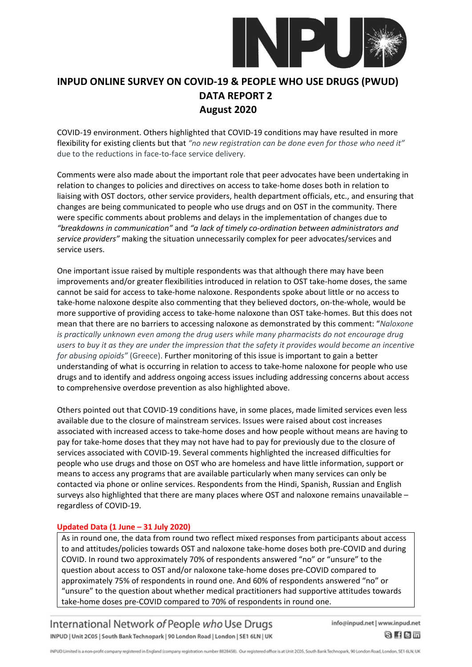

COVID-19 environment. Others highlighted that COVID-19 conditions may have resulted in more flexibility for existing clients but that *"no new registration can be done even for those who need it"* due to the reductions in face-to-face service delivery.

Comments were also made about the important role that peer advocates have been undertaking in relation to changes to policies and directives on access to take-home doses both in relation to liaising with OST doctors, other service providers, health department officials, etc., and ensuring that changes are being communicated to people who use drugs and on OST in the community. There were specific comments about problems and delays in the implementation of changes due to *"breakdowns in communication"* and *"a lack of timely co-ordination between administrators and service providers"* making the situation unnecessarily complex for peer advocates/services and service users.

One important issue raised by multiple respondents was that although there may have been improvements and/or greater flexibilities introduced in relation to OST take-home doses, the same cannot be said for access to take-home naloxone. Respondents spoke about little or no access to take-home naloxone despite also commenting that they believed doctors, on-the-whole, would be more supportive of providing access to take-home naloxone than OST take-homes. But this does not mean that there are no barriers to accessing naloxone as demonstrated by this comment: "*Naloxone is practically unknown even among the drug users while many pharmacists do not encourage drug users to buy it as they are under the impression that the safety it provides would become an incentive for abusing opioids"* (Greece). Further monitoring of this issue is important to gain a better understanding of what is occurring in relation to access to take-home naloxone for people who use drugs and to identify and address ongoing access issues including addressing concerns about access to comprehensive overdose prevention as also highlighted above.

Others pointed out that COVID-19 conditions have, in some places, made limited services even less available due to the closure of mainstream services. Issues were raised about cost increases associated with increased access to take-home doses and how people without means are having to pay for take-home doses that they may not have had to pay for previously due to the closure of services associated with COVID-19. Several comments highlighted the increased difficulties for people who use drugs and those on OST who are homeless and have little information, support or means to access any programs that are available particularly when many services can only be contacted via phone or online services. Respondents from the Hindi, Spanish, Russian and English surveys also highlighted that there are many places where OST and naloxone remains unavailable – regardless of COVID-19.

#### **Updated Data (1 June – 31 July 2020)**

As in round one, the data from round two reflect mixed responses from participants about access to and attitudes/policies towards OST and naloxone take-home doses both pre-COVID and during COVID. In round two approximately 70% of respondents answered "no" or "unsure" to the question about access to OST and/or naloxone take-home doses pre-COVID compared to approximately 75% of respondents in round one. And 60% of respondents answered "no" or "unsure" to the question about whether medical practitioners had supportive attitudes towards take-home doses pre-COVID compared to 70% of respondents in round one.

International Network of People who Use Drugs INPUD | Unit 2C05 | South Bank Technopark | 90 London Road | London | SE1 6LN | UK info@inpud.net | www.inpud.net

 $S$  fem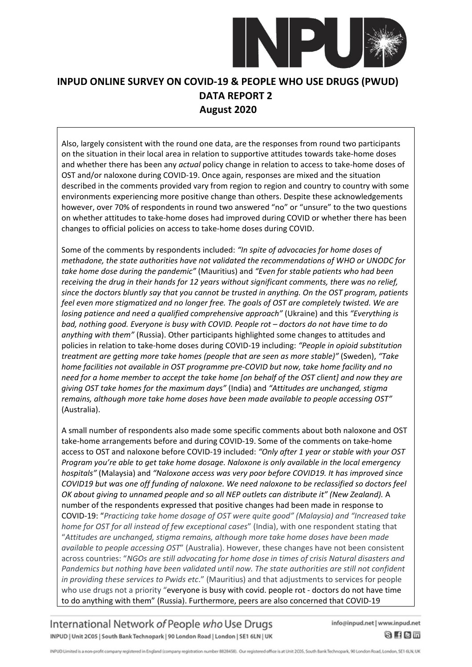

Also, largely consistent with the round one data, are the responses from round two participants on the situation in their local area in relation to supportive attitudes towards take-home doses and whether there has been any *actual* policy change in relation to access to take-home doses of OST and/or naloxone during COVID-19. Once again, responses are mixed and the situation described in the comments provided vary from region to region and country to country with some environments experiencing more positive change than others. Despite these acknowledgements however, over 70% of respondents in round two answered "no" or "unsure" to the two questions on whether attitudes to take-home doses had improved during COVID or whether there has been changes to official policies on access to take-home doses during COVID.

Some of the comments by respondents included: *"In spite of advocacies for home doses of methadone, the state authorities have not validated the recommendations of WHO or UNODC for take home dose during the pandemic"* (Mauritius) and *"Even for stable patients who had been receiving the drug in their hands for 12 years without significant comments, there was no relief, since the doctors bluntly say that you cannot be trusted in anything. On the OST program, patients feel even more stigmatized and no longer free. The goals of OST are completely twisted. We are losing patience and need a qualified comprehensive approach"* (Ukraine) and this *"Everything is bad, nothing good. Everyone is busy with COVID. People rot – doctors do not have time to do anything with them"* (Russia). Other participants highlighted some changes to attitudes and policies in relation to take-home doses during COVID-19 including: *"People in opioid substitution treatment are getting more take homes (people that are seen as more stable)"* (Sweden), *"Take home facilities not available in OST programme pre-COVID but now, take home facility and no need for a home member to accept the take home [on behalf of the OST client] and now they are giving OST take homes for the maximum days"* (India) and *"Attitudes are unchanged, stigma remains, although more take home doses have been made available to people accessing OST"* (Australia).

A small number of respondents also made some specific comments about both naloxone and OST take-home arrangements before and during COVID-19. Some of the comments on take-home access to OST and naloxone before COVID-19 included: *"Only after 1 year or stable with your OST Program you're able to get take home dosage. Naloxone is only available in the local emergency hospitals"* (Malaysia) and *"Naloxone access was very poor before COVID19. It has improved since COVID19 but was one off funding of naloxone. We need naloxone to be reclassified so doctors feel OK about giving to unnamed people and so all NEP outlets can distribute it" (New Zealand).* A number of the respondents expressed that positive changes had been made in response to COVID-19: "*Practicing take home dosage of OST were quite good" (Malaysia) and "Increased take home for OST for all instead of few exceptional cases*" (India), with one respondent stating that "*Attitudes are unchanged, stigma remains, although more take home doses have been made available to people accessing OST*" (Australia). However, these changes have not been consistent across countries: "*NGOs are still advocating for home dose in times of crisis Natural disasters and Pandemics but nothing have been validated until now. The state authorities are still not confident in providing these services to Pwids etc*." (Mauritius) and that adjustments to services for people who use drugs not a priority "everyone is busy with covid. people rot - doctors do not have time to do anything with them" (Russia). Furthermore, peers are also concerned that COVID-19

International Network of People who Use Drugs INPUD | Unit 2C05 | South Bank Technopark | 90 London Road | London | SE1 6LN | UK

info@inpud.net | www.inpud.net

 $8$  fem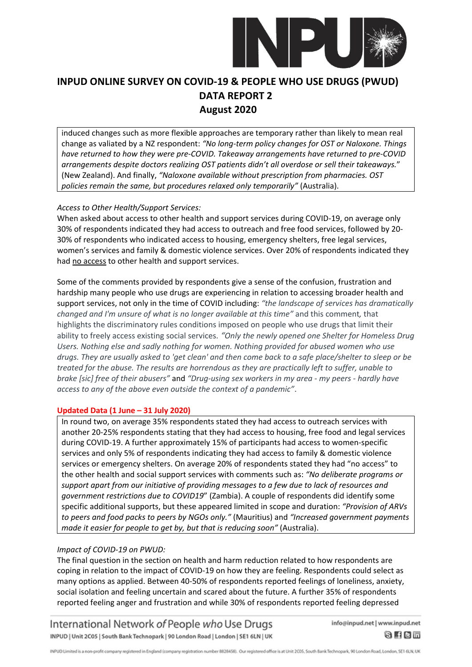

induced changes such as more flexible approaches are temporary rather than likely to mean real change as valiated by a NZ respondent: *"No long-term policy changes for OST or Naloxone. Things have returned to how they were pre-COVID. Takeaway arrangements have returned to pre-COVID arrangements despite doctors realizing OST patients didn't all overdose or sell their takeaways.*" (New Zealand). And finally, *"Naloxone available without prescription from pharmacies. OST policies remain the same, but procedures relaxed only temporarily"* (Australia).

### *Access to Other Health/Support Services:*

When asked about access to other health and support services during COVID-19, on average only 30% of respondents indicated they had access to outreach and free food services, followed by 20- 30% of respondents who indicated access to housing, emergency shelters, free legal services, women's services and family & domestic violence services. Over 20% of respondents indicated they had no access to other health and support services.

Some of the comments provided by respondents give a sense of the confusion, frustration and hardship many people who use drugs are experiencing in relation to accessing broader health and support services, not only in the time of COVID including: *"the landscape of services has dramatically changed and I'm unsure of what is no longer available at this time"* and this comment*,* that highlights the discriminatory rules conditions imposed on people who use drugs that limit their ability to freely access existing social services. *"Only the newly opened one Shelter for Homeless Drug Users. Nothing else and sadly nothing for women. Nothing provided for abused women who use drugs. They are usually asked to 'get clean' and then come back to a safe place/shelter to sleep or be treated for the abuse. The results are horrendous as they are practically left to suffer, unable to brake [sic] free of their abusers"* and *"Drug-using sex workers in my area - my peers - hardly have access to any of the above even outside the context of a pandemic"*.

#### **Updated Data (1 June – 31 July 2020)**

In round two, on average 35% respondents stated they had access to outreach services with another 20-25% respondents stating that they had access to housing, free food and legal services during COVID-19. A further approximately 15% of participants had access to women-specific services and only 5% of respondents indicating they had access to family & domestic violence services or emergency shelters. On average 20% of respondents stated they had "no access" to the other health and social support services with comments such as: *"No deliberate programs or support apart from our initiative of providing messages to a few due to lack of resources and government restrictions due to COVID19*" (Zambia). A couple of respondents did identify some specific additional supports, but these appeared limited in scope and duration: *"Provision of ARVs to peers and food packs to peers by NGOs only."* (Mauritius) and *"Increased government payments made it easier for people to get by, but that is reducing soon"* (Australia).

### *Impact of COVID-19 on PWUD:*

The final question in the section on health and harm reduction related to how respondents are coping in relation to the impact of COVID-19 on how they are feeling. Respondents could select as many options as applied. Between 40-50% of respondents reported feelings of loneliness, anxiety, social isolation and feeling uncertain and scared about the future. A further 35% of respondents reported feeling anger and frustration and while 30% of respondents reported feeling depressed

International Network of People who Use Drugs INPUD | Unit 2C05 | South Bank Technopark | 90 London Road | London | SE1 6LN | UK info@inpud.net | www.inpud.net

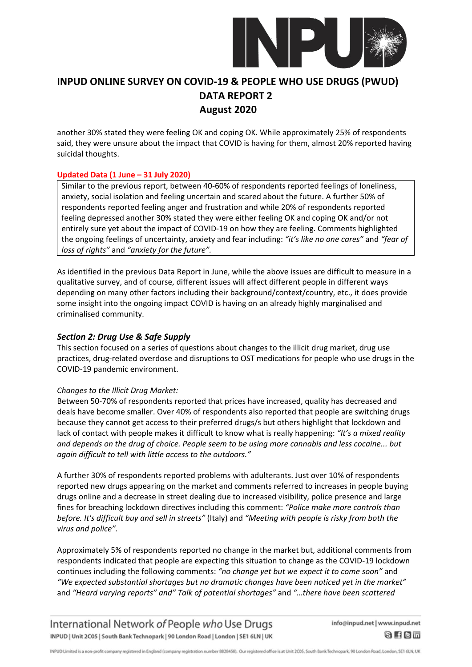

another 30% stated they were feeling OK and coping OK. While approximately 25% of respondents said, they were unsure about the impact that COVID is having for them, almost 20% reported having suicidal thoughts.

### **Updated Data (1 June – 31 July 2020)**

Similar to the previous report, between 40-60% of respondents reported feelings of loneliness, anxiety, social isolation and feeling uncertain and scared about the future. A further 50% of respondents reported feeling anger and frustration and while 20% of respondents reported feeling depressed another 30% stated they were either feeling OK and coping OK and/or not entirely sure yet about the impact of COVID-19 on how they are feeling. Comments highlighted the ongoing feelings of uncertainty, anxiety and fear including: *"it's like no one cares"* and *"fear of loss of rights"* and *"anxiety for the future".*

As identified in the previous Data Report in June, while the above issues are difficult to measure in a qualitative survey, and of course, different issues will affect different people in different ways depending on many other factors including their background/context/country, etc., it does provide some insight into the ongoing impact COVID is having on an already highly marginalised and criminalised community.

### *Section 2: Drug Use & Safe Supply*

This section focused on a series of questions about changes to the illicit drug market, drug use practices, drug-related overdose and disruptions to OST medications for people who use drugs in the COVID-19 pandemic environment.

#### *Changes to the Illicit Drug Market:*

Between 50-70% of respondents reported that prices have increased, quality has decreased and deals have become smaller. Over 40% of respondents also reported that people are switching drugs because they cannot get access to their preferred drugs/s but others highlight that lockdown and lack of contact with people makes it difficult to know what is really happening: *"It's a mixed reality and depends on the drug of choice. People seem to be using more cannabis and less cocaine... but again difficult to tell with little access to the outdoors."*

A further 30% of respondents reported problems with adulterants. Just over 10% of respondents reported new drugs appearing on the market and comments referred to increases in people buying drugs online and a decrease in street dealing due to increased visibility, police presence and large fines for breaching lockdown directives including this comment: *"Police make more controls than before. It's difficult buy and sell in streets"* (Italy) and *"Meeting with people is risky from both the virus and police".*

Approximately 5% of respondents reported no change in the market but, additional comments from respondents indicated that people are expecting this situation to change as the COVID-19 lockdown continues including the following comments: *"no change yet but we expect it to come soon"* and *"We expected substantial shortages but no dramatic changes have been noticed yet in the market"*  and *"Heard varying reports" and" Talk of potential shortages"* and *"…there have been scattered* 

International Network of People who Use Drugs INPUD | Unit 2C05 | South Bank Technopark | 90 London Road | London | SE1 6LN | UK

info@inpud.net | www.inpud.net

8 f 8 m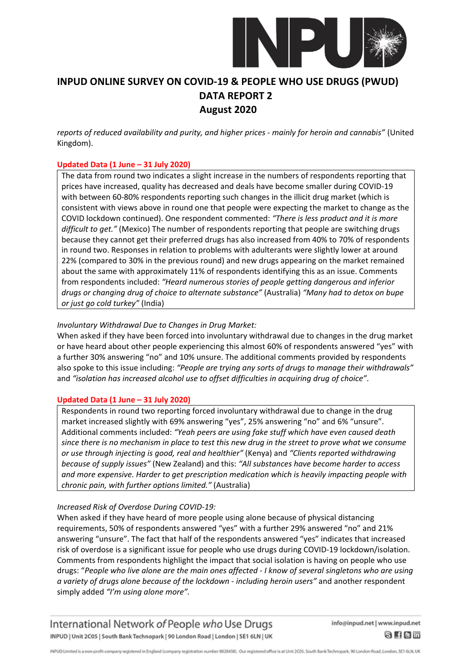

*reports of reduced availability and purity, and higher prices - mainly for heroin and cannabis"* (United Kingdom).

### **Updated Data (1 June – 31 July 2020)**

The data from round two indicates a slight increase in the numbers of respondents reporting that prices have increased, quality has decreased and deals have become smaller during COVID-19 with between 60-80% respondents reporting such changes in the illicit drug market (which is consistent with views above in round one that people were expecting the market to change as the COVID lockdown continued). One respondent commented: *"There is less product and it is more difficult to get."* (Mexico) The number of respondents reporting that people are switching drugs because they cannot get their preferred drugs has also increased from 40% to 70% of respondents in round two. Responses in relation to problems with adulterants were slightly lower at around 22% (compared to 30% in the previous round) and new drugs appearing on the market remained about the same with approximately 11% of respondents identifying this as an issue. Comments from respondents included: *"Heard numerous stories of people getting dangerous and inferior drugs or changing drug of choice to alternate substance"* (Australia) *"Many had to detox on bupe or just go cold turkey"* (India)

### *Involuntary Withdrawal Due to Changes in Drug Market:*

When asked if they have been forced into involuntary withdrawal due to changes in the drug market or have heard about other people experiencing this almost 60% of respondents answered "yes" with a further 30% answering "no" and 10% unsure. The additional comments provided by respondents also spoke to this issue including: *"People are trying any sorts of drugs to manage their withdrawals"* and *"isolation has increased alcohol use to offset difficulties in acquiring drug of choice"*.

#### **Updated Data (1 June – 31 July 2020)**

Respondents in round two reporting forced involuntary withdrawal due to change in the drug market increased slightly with 69% answering "yes", 25% answering "no" and 6% "unsure". Additional comments included: *"Yeah peers are using fake stuff which have even caused death since there is no mechanism in place to test this new drug in the street to prove what we consume or use through injecting is good, real and healthier"* (Kenya) and *"Clients reported withdrawing because of supply issues"* (New Zealand) and this: *"All substances have become harder to access and more expensive. Harder to get prescription medication which is heavily impacting people with chronic pain, with further options limited."* (Australia)

#### *Increased Risk of Overdose During COVID-19:*

When asked if they have heard of more people using alone because of physical distancing requirements, 50% of respondents answered "yes" with a further 29% answered "no" and 21% answering "unsure". The fact that half of the respondents answered "yes" indicates that increased risk of overdose is a significant issue for people who use drugs during COVID-19 lockdown/isolation. Comments from respondents highlight the impact that social isolation is having on people who use drugs: "*People who live alone are the main ones affected - I know of several singletons who are using a variety of drugs alone because of the lockdown - including heroin users"* and another respondent simply added *"I'm using alone more".* 

International Network of People who Use Drugs INPUD | Unit 2C05 | South Bank Technopark | 90 London Road | London | SE1 6LN | UK

info@inpud.net | www.inpud.net

8 f 8 m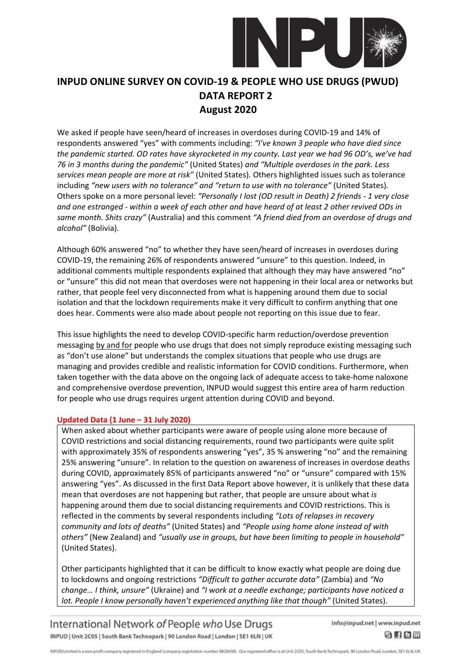

We asked if people have seen/heard of increases in overdoses during COVID-19 and 14% of respondents answered "yes" with comments including: *"I've known 3 people who have died since the pandemic started. OD rates have skyrocketed in my county. Last year we had 96 OD's, we've had 76 in 3 months during the pandemic"* (United States) *and "Multiple overdoses in the park. Less services mean people are more at risk"* (United States)*.* Others highlighted issues such as tolerance including *"new users with no tolerance" and "return to use with no tolerance"* (United States)*.*  Others spoke on a more personal level: *"Personally I lost (OD result in Death) 2 friends - 1 very close and one estranged - within a week of each other and have heard of at least 2 other revived ODs in same month. Shits crazy"* (Australia) and this comment *"A friend died from an overdose of drugs and alcohol"* (Bolivia)*.*

Although 60% answered "no" to whether they have seen/heard of increases in overdoses during COVID-19, the remaining 26% of respondents answered "unsure" to this question. Indeed, in additional comments multiple respondents explained that although they may have answered "no" or "unsure" this did not mean that overdoses were not happening in their local area or networks but rather, that people feel very disconnected from what is happening around them due to social isolation and that the lockdown requirements make it very difficult to confirm anything that one does hear. Comments were also made about people not reporting on this issue due to fear.

This issue highlights the need to develop COVID-specific harm reduction/overdose prevention messaging by and for people who use drugs that does not simply reproduce existing messaging such as "don't use alone" but understands the complex situations that people who use drugs are managing and provides credible and realistic information for COVID conditions. Furthermore, when taken together with the data above on the ongoing lack of adequate access to take-home naloxone and comprehensive overdose prevention, INPUD would suggest this entire area of harm reduction for people who use drugs requires urgent attention during COVID and beyond.

### **Updated Data (1 June – 31 July 2020)**

When asked about whether participants were aware of people using alone more because of COVID restrictions and social distancing requirements, round two participants were quite split with approximately 35% of respondents answering "yes", 35 % answering "no" and the remaining 25% answering "unsure". In relation to the question on awareness of increases in overdose deaths during COVID, approximately 85% of participants answered "no" or "unsure" compared with 15% answering "yes". As discussed in the first Data Report above however, it is unlikely that these data mean that overdoses are not happening but rather, that people are unsure about what *is* happening around them due to social distancing requirements and COVID restrictions. This is reflected in the comments by several respondents including *"Lots of relapses in recovery community and lots of deaths"* (United States) and *"People using home alone instead of with others"* (New Zealand) and *"usually use in groups, but have been limiting to people in household"* (United States).

Other participants highlighted that it can be difficult to know exactly what people are doing due to lockdowns and ongoing restrictions *"Difficult to gather accurate data"* (Zambia) and *"No change… I think, unsure"* (Ukraine) and *"I work at a needle exchange; participants have noticed a lot. People I know personally haven't experienced anything like that though"* (United States).

International Network of People who Use Drugs INPUD | Unit 2C05 | South Bank Technopark | 90 London Road | London | SE1 6LN | UK info@inpud.net | www.inpud.net

8 f 8 m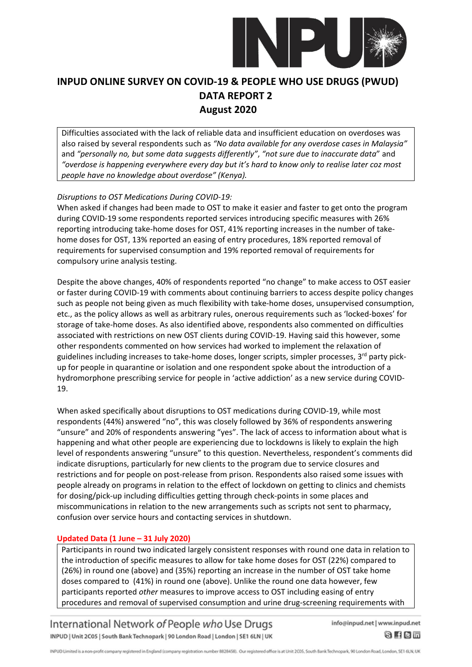

Difficulties associated with the lack of reliable data and insufficient education on overdoses was also raised by several respondents such as *"No data available for any overdose cases in Malaysia"* and *"personally no, but some data suggests differently"*, *"not sure due to inaccurate data*" and *"overdose is happening everywhere every day but it's hard to know only to realise later coz most people have no knowledge about overdose" (Kenya).*

### *Disruptions to OST Medications During COVID-19:*

When asked if changes had been made to OST to make it easier and faster to get onto the program during COVID-19 some respondents reported services introducing specific measures with 26% reporting introducing take-home doses for OST, 41% reporting increases in the number of takehome doses for OST, 13% reported an easing of entry procedures, 18% reported removal of requirements for supervised consumption and 19% reported removal of requirements for compulsory urine analysis testing.

Despite the above changes, 40% of respondents reported "no change" to make access to OST easier or faster during COVID-19 with comments about continuing barriers to access despite policy changes such as people not being given as much flexibility with take-home doses, unsupervised consumption, etc., as the policy allows as well as arbitrary rules, onerous requirements such as 'locked-boxes' for storage of take-home doses. As also identified above, respondents also commented on difficulties associated with restrictions on new OST clients during COVID-19. Having said this however, some other respondents commented on how services had worked to implement the relaxation of guidelines including increases to take-home doses, longer scripts, simpler processes,  $3<sup>rd</sup>$  party pickup for people in quarantine or isolation and one respondent spoke about the introduction of a hydromorphone prescribing service for people in 'active addiction' as a new service during COVID-19.

When asked specifically about disruptions to OST medications during COVID-19, while most respondents (44%) answered "no", this was closely followed by 36% of respondents answering "unsure" and 20% of respondents answering "yes". The lack of access to information about what is happening and what other people are experiencing due to lockdowns is likely to explain the high level of respondents answering "unsure" to this question. Nevertheless, respondent's comments did indicate disruptions, particularly for new clients to the program due to service closures and restrictions and for people on post-release from prison. Respondents also raised some issues with people already on programs in relation to the effect of lockdown on getting to clinics and chemists for dosing/pick-up including difficulties getting through check-points in some places and miscommunications in relation to the new arrangements such as scripts not sent to pharmacy, confusion over service hours and contacting services in shutdown.

#### **Updated Data (1 June – 31 July 2020)**

Participants in round two indicated largely consistent responses with round one data in relation to the introduction of specific measures to allow for take home doses for OST (22%) compared to (26%) in round one (above) and (35%) reporting an increase in the number of OST take home doses compared to (41%) in round one (above). Unlike the round one data however, few participants reported *other* measures to improve access to OST including easing of entry procedures and removal of supervised consumption and urine drug-screening requirements with

International Network of People who Use Drugs INPUD | Unit 2C05 | South Bank Technopark | 90 London Road | London | SE1 6LN | UK info@inpud.net | www.inpud.net

 $8$  fem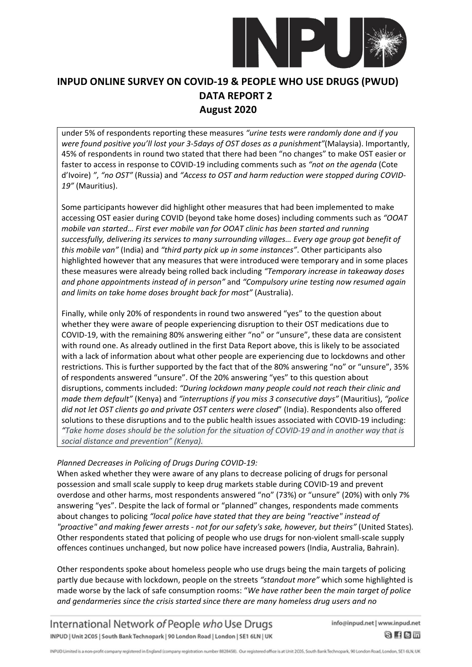

under 5% of respondents reporting these measures *"urine tests were randomly done and if you were found positive you'll lost your 3-5days of OST doses as a punishment"*(Malaysia). Importantly, 45% of respondents in round two stated that there had been "no changes" to make OST easier or faster to access in response to COVID-19 including comments such as *"not on the agenda* (Cote d'Ivoire) *"*, *"no OST"* (Russia) and *"Access to OST and harm reduction were stopped during COVID-19"* (Mauritius).

Some participants however did highlight other measures that had been implemented to make accessing OST easier during COVID (beyond take home doses) including comments such as *"OOAT mobile van started… First ever mobile van for OOAT clinic has been started and running successfully, delivering its services to many surrounding villages… Every age group got benefit of this mobile van"* (India) and *"third party pick up in some instances"*. Other participants also highlighted however that any measures that were introduced were temporary and in some places these measures were already being rolled back including *"Temporary increase in takeaway doses and phone appointments instead of in person"* and *"Compulsory urine testing now resumed again and limits on take home doses brought back for most"* (Australia).

Finally, while only 20% of respondents in round two answered "yes" to the question about whether they were aware of people experiencing disruption to their OST medications due to COVID-19, with the remaining 80% answering either "no" or "unsure", these data are consistent with round one. As already outlined in the first Data Report above, this is likely to be associated with a lack of information about what other people are experiencing due to lockdowns and other restrictions. This is further supported by the fact that of the 80% answering "no" or "unsure", 35% of respondents answered "unsure". Of the 20% answering "yes" to this question about disruptions, comments included: *"During lockdown many people could not reach their clinic and made them default"* (Kenya) and *"interruptions if you miss 3 consecutive days"* (Mauritius), *"police did not let OST clients go and private OST centers were closed*" (India). Respondents also offered solutions to these disruptions and to the public health issues associated with COVID-19 including: *"Take home doses should be the solution for the situation of COVID-19 and in another way that is social distance and prevention" (Kenya).*

### *Planned Decreases in Policing of Drugs During COVID-19:*

When asked whether they were aware of any plans to decrease policing of drugs for personal possession and small scale supply to keep drug markets stable during COVID-19 and prevent overdose and other harms, most respondents answered "no" (73%) or "unsure" (20%) with only 7% answering "yes". Despite the lack of formal or "planned" changes, respondents made comments about changes to policing *"local police have stated that they are being "reactive" instead of "proactive" and making fewer arrests - not for our safety's sake, however, but theirs"* (United States)*.* Other respondents stated that policing of people who use drugs for non-violent small-scale supply offences continues unchanged, but now police have increased powers (India, Australia, Bahrain).

Other respondents spoke about homeless people who use drugs being the main targets of policing partly due because with lockdown, people on the streets *"standout more"* which some highlighted is made worse by the lack of safe consumption rooms: "*We have rather been the main target of police and gendarmeries since the crisis started since there are many homeless drug users and no* 

International Network of People who Use Drugs INPUD | Unit 2C05 | South Bank Technopark | 90 London Road | London | SE1 6LN | UK

info@inpud.net | www.inpud.net

8 f 8 m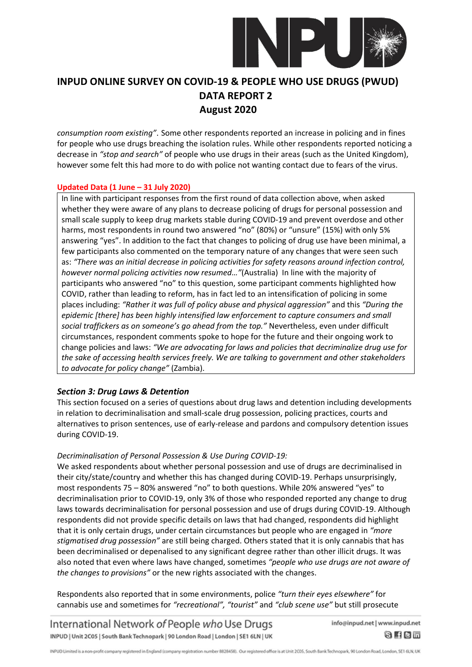

*consumption room existing"*. Some other respondents reported an increase in policing and in fines for people who use drugs breaching the isolation rules. While other respondents reported noticing a decrease in *"stop and search"* of people who use drugs in their areas (such as the United Kingdom), however some felt this had more to do with police not wanting contact due to fears of the virus.

#### **Updated Data (1 June – 31 July 2020)**

In line with participant responses from the first round of data collection above, when asked whether they were aware of any plans to decrease policing of drugs for personal possession and small scale supply to keep drug markets stable during COVID-19 and prevent overdose and other harms, most respondents in round two answered "no" (80%) or "unsure" (15%) with only 5% answering "yes". In addition to the fact that changes to policing of drug use have been minimal, a few participants also commented on the temporary nature of any changes that were seen such as: *"There was an initial decrease in policing activities for safety reasons around infection control, however normal policing activities now resumed…"*(Australia) In line with the majority of participants who answered "no" to this question, some participant comments highlighted how COVID, rather than leading to reform, has in fact led to an intensification of policing in some places including: *"Rather it was full of policy abuse and physical aggression"* and this *"During the epidemic [there] has been highly intensified law enforcement to capture consumers and small social traffickers as on someone's go ahead from the top."* Nevertheless, even under difficult circumstances, respondent comments spoke to hope for the future and their ongoing work to change policies and laws: *"We are advocating for laws and policies that decriminalize drug use for the sake of accessing health services freely. We are talking to government and other stakeholders to advocate for policy change"* (Zambia).

### *Section 3: Drug Laws & Detention*

This section focused on a series of questions about drug laws and detention including developments in relation to decriminalisation and small-scale drug possession, policing practices, courts and alternatives to prison sentences, use of early-release and pardons and compulsory detention issues during COVID-19.

### *Decriminalisation of Personal Possession & Use During COVID-19:*

We asked respondents about whether personal possession and use of drugs are decriminalised in their city/state/country and whether this has changed during COVID-19. Perhaps unsurprisingly, most respondents 75 – 80% answered "no" to both questions. While 20% answered "yes" to decriminalisation prior to COVID-19, only 3% of those who responded reported any change to drug laws towards decriminalisation for personal possession and use of drugs during COVID-19. Although respondents did not provide specific details on laws that had changed, respondents did highlight that it is only certain drugs, under certain circumstances but people who are engaged in *"more stigmatised drug possession"* are still being charged. Others stated that it is only cannabis that has been decriminalised or depenalised to any significant degree rather than other illicit drugs. It was also noted that even where laws have changed, sometimes *"people who use drugs are not aware of the changes to provisions"* or the new rights associated with the changes.

Respondents also reported that in some environments, police *"turn their eyes elsewhere"* for cannabis use and sometimes for *"recreational", "tourist"* and *"club scene use"* but still prosecute

International Network of People who Use Drugs INPUD | Unit 2C05 | South Bank Technopark | 90 London Road | London | SE1 6LN | UK info@inpud.net | www.inpud.net

8 f 8 m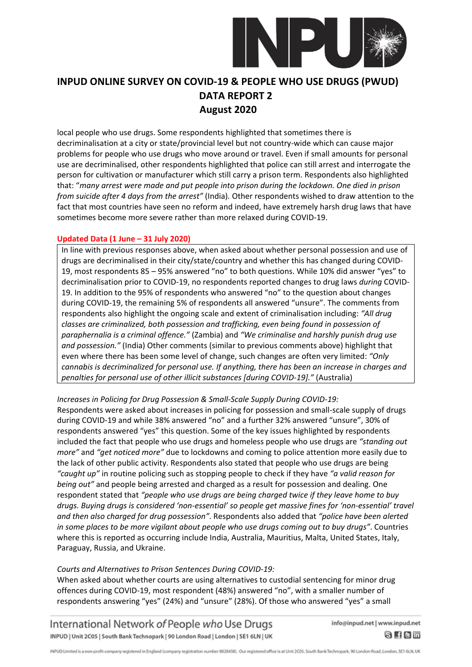

local people who use drugs. Some respondents highlighted that sometimes there is decriminalisation at a city or state/provincial level but not country-wide which can cause major problems for people who use drugs who move around or travel. Even if small amounts for personal use are decriminalised, other respondents highlighted that police can still arrest and interrogate the person for cultivation or manufacturer which still carry a prison term. Respondents also highlighted that: "*many arrest were made and put people into prison during the lockdown. One died in prison from suicide after 4 days from the arrest"* (India)*.* Other respondents wished to draw attention to the fact that most countries have seen no reform and indeed, have extremely harsh drug laws that have sometimes become more severe rather than more relaxed during COVID-19.

#### **Updated Data (1 June – 31 July 2020)**

In line with previous responses above, when asked about whether personal possession and use of drugs are decriminalised in their city/state/country and whether this has changed during COVID-19, most respondents 85 – 95% answered "no" to both questions. While 10% did answer "yes" to decriminalisation prior to COVID-19, no respondents reported changes to drug laws *during* COVID-19. In addition to the 95% of respondents who answered "no" to the question about changes during COVID-19, the remaining 5% of respondents all answered "unsure". The comments from respondents also highlight the ongoing scale and extent of criminalisation including: *"All drug classes are criminalized, both possession and trafficking, even being found in possession of paraphernalia is a criminal offence."* (Zambia) and *"We criminalise and harshly punish drug use and possession."* (India) Other comments (similar to previous comments above) highlight that even where there has been some level of change, such changes are often very limited: *"Only cannabis is decriminalized for personal use. If anything, there has been an increase in charges and penalties for personal use of other illicit substances [during COVID-19]."* (Australia)

### *Increases in Policing for Drug Possession & Small-Scale Supply During COVID-19:*

Respondents were asked about increases in policing for possession and small-scale supply of drugs during COVID-19 and while 38% answered "no" and a further 32% answered "unsure", 30% of respondents answered "yes" this question. Some of the key issues highlighted by respondents included the fact that people who use drugs and homeless people who use drugs are *"standing out more"* and *"get noticed more"* due to lockdowns and coming to police attention more easily due to the lack of other public activity. Respondents also stated that people who use drugs are being *"caught up"* in routine policing such as stopping people to check if they have *"a valid reason for being out"* and people being arrested and charged as a result for possession and dealing. One respondent stated that *"people who use drugs are being charged twice if they leave home to buy drugs. Buying drugs is considered 'non-essential' so people get massive fines for 'non-essential' travel and then also charged for drug possession"*. Respondents also added that *"police have been alerted in some places to be more vigilant about people who use drugs coming out to buy drugs"*. Countries where this is reported as occurring include India, Australia, Mauritius, Malta, United States, Italy, Paraguay, Russia, and Ukraine.

#### *Courts and Alternatives to Prison Sentences During COVID-19:*

When asked about whether courts are using alternatives to custodial sentencing for minor drug offences during COVID-19, most respondent (48%) answered "no", with a smaller number of respondents answering "yes" (24%) and "unsure" (28%). Of those who answered "yes" a small

International Network of People who Use Drugs INPUD | Unit 2C05 | South Bank Technopark | 90 London Road | London | SE1 6LN | UK info@inpud.net | www.inpud.net

 $8$  fem

INPUD Limited is a non-profit company registered in England (company registration number 8828458). Our registered office is at Unit 2C05, South Bank Technopark, 90 London Road, London, SE1 6LN, UK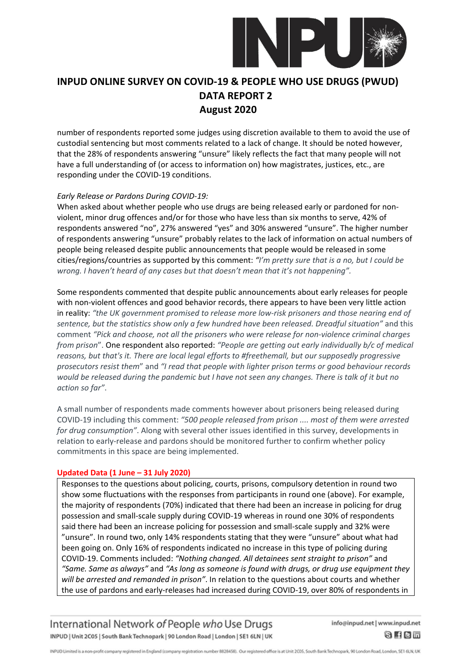

number of respondents reported some judges using discretion available to them to avoid the use of custodial sentencing but most comments related to a lack of change. It should be noted however, that the 28% of respondents answering "unsure" likely reflects the fact that many people will not have a full understanding of (or access to information on) how magistrates, justices, etc., are responding under the COVID-19 conditions.

#### *Early Release or Pardons During COVID-19:*

When asked about whether people who use drugs are being released early or pardoned for nonviolent, minor drug offences and/or for those who have less than six months to serve, 42% of respondents answered "no", 27% answered "yes" and 30% answered "unsure". The higher number of respondents answering "unsure" probably relates to the lack of information on actual numbers of people being released despite public announcements that people would be released in some cities/regions/countries as supported by this comment: *"I'm pretty sure that is a no, but I could be wrong. I haven't heard of any cases but that doesn't mean that it's not happening".*

Some respondents commented that despite public announcements about early releases for people with non-violent offences and good behavior records, there appears to have been very little action in reality: *"the UK government promised to release more low-risk prisoners and those nearing end of sentence, but the statistics show only a few hundred have been released. Dreadful situation"* and this comment *"Pick and choose, not all the prisoners who were release for non-violence criminal charges from prison*". One respondent also reported: *"People are getting out early individually b/c of medical reasons, but that's it. There are local legal efforts to #freethemall, but our supposedly progressive prosecutors resist them*" and *"I read that people with lighter prison terms or good behaviour records would be released during the pandemic but I have not seen any changes. There is talk of it but no action so far"*.

A small number of respondents made comments however about prisoners being released during COVID-19 including this comment: *"500 people released from prison .... most of them were arrested for drug consumption"*. Along with several other issues identified in this survey, developments in relation to early-release and pardons should be monitored further to confirm whether policy commitments in this space are being implemented.

### **Updated Data (1 June – 31 July 2020)**

Responses to the questions about policing, courts, prisons, compulsory detention in round two show some fluctuations with the responses from participants in round one (above). For example, the majority of respondents (70%) indicated that there had been an increase in policing for drug possession and small-scale supply during COVID-19 whereas in round one 30% of respondents said there had been an increase policing for possession and small-scale supply and 32% were "unsure". In round two, only 14% respondents stating that they were "unsure" about what had been going on. Only 16% of respondents indicated no increase in this type of policing during COVID-19. Comments included: *"Nothing changed. All detainees sent straight to prison"* and *"Same. Same as always"* and *"As long as someone is found with drugs, or drug use equipment they will be arrested and remanded in prison"*. In relation to the questions about courts and whether the use of pardons and early-releases had increased during COVID-19, over 80% of respondents in

International Network of People who Use Drugs INPUD | Unit 2C05 | South Bank Technopark | 90 London Road | London | SE1 6LN | UK

info@inpud.net | www.inpud.net

8 f 8 m

INPUD Limited is a non-profit company registered in England (company registration number 8828458). Our registered office is at Unit 2005, South Bank Technopark, 90 London Road, London, SE1 6LN, UK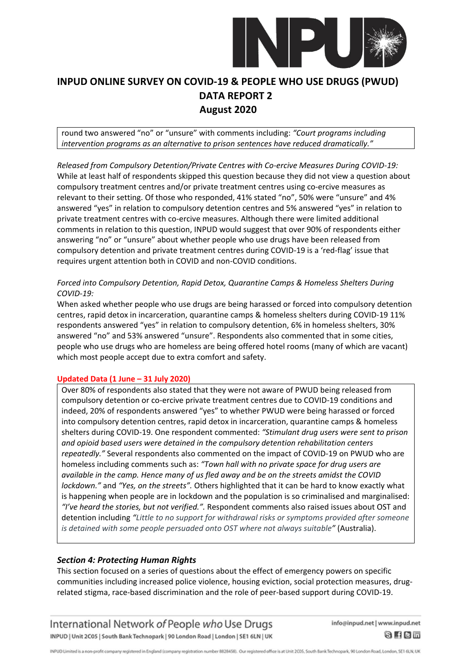

round two answered "no" or "unsure" with comments including: *"Court programs including intervention programs as an alternative to prison sentences have reduced dramatically."*

*Released from Compulsory Detention/Private Centres with Co-ercive Measures During COVID-19:* While at least half of respondents skipped this question because they did not view a question about compulsory treatment centres and/or private treatment centres using co-ercive measures as relevant to their setting. Of those who responded, 41% stated "no", 50% were "unsure" and 4% answered "yes" in relation to compulsory detention centres and 5% answered "yes" in relation to private treatment centres with co-ercive measures. Although there were limited additional comments in relation to this question, INPUD would suggest that over 90% of respondents either answering "no" or "unsure" about whether people who use drugs have been released from compulsory detention and private treatment centres during COVID-19 is a 'red-flag' issue that requires urgent attention both in COVID and non-COVID conditions.

### *Forced into Compulsory Detention, Rapid Detox, Quarantine Camps & Homeless Shelters During COVID-19:*

When asked whether people who use drugs are being harassed or forced into compulsory detention centres, rapid detox in incarceration, quarantine camps & homeless shelters during COVID-19 11% respondents answered "yes" in relation to compulsory detention, 6% in homeless shelters, 30% answered "no" and 53% answered "unsure". Respondents also commented that in some cities, people who use drugs who are homeless are being offered hotel rooms (many of which are vacant) which most people accept due to extra comfort and safety.

#### **Updated Data (1 June – 31 July 2020)**

Over 80% of respondents also stated that they were not aware of PWUD being released from compulsory detention or co-ercive private treatment centres due to COVID-19 conditions and indeed, 20% of respondents answered "yes" to whether PWUD were being harassed or forced into compulsory detention centres, rapid detox in incarceration, quarantine camps & homeless shelters during COVID-19. One respondent commented: *"Stimulant drug users were sent to prison and opioid based users were detained in the compulsory detention rehabilitation centers repeatedly."* Several respondents also commented on the impact of COVID-19 on PWUD who are homeless including comments such as: *"Town hall with no private space for drug users are available in the camp. Hence many of us fled away and be on the streets amidst the COVID lockdown."* and *"Yes, on the streets".* Others highlighted that it can be hard to know exactly what is happening when people are in lockdown and the population is so criminalised and marginalised: *"I've heard the stories, but not verified.".* Respondent comments also raised issues about OST and detention including *"Little to no support for withdrawal risks or symptoms provided after someone is detained with some people persuaded onto OST where not always suitable"* (Australia).

### *Section 4: Protecting Human Rights*

This section focused on a series of questions about the effect of emergency powers on specific communities including increased police violence, housing eviction, social protection measures, drugrelated stigma, race-based discrimination and the role of peer-based support during COVID-19.

International Network of People who Use Drugs INPUD | Unit 2C05 | South Bank Technopark | 90 London Road | London | SE1 6LN | UK

info@inpud.net | www.inpud.net

8 f 8 m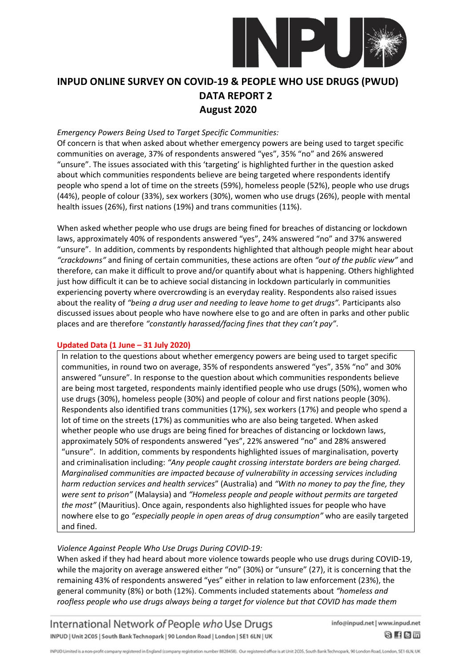

#### *Emergency Powers Being Used to Target Specific Communities:*

Of concern is that when asked about whether emergency powers are being used to target specific communities on average, 37% of respondents answered "yes", 35% "no" and 26% answered "unsure". The issues associated with this 'targeting' is highlighted further in the question asked about which communities respondents believe are being targeted where respondents identify people who spend a lot of time on the streets (59%), homeless people (52%), people who use drugs (44%), people of colour (33%), sex workers (30%), women who use drugs (26%), people with mental health issues (26%), first nations (19%) and trans communities (11%).

When asked whether people who use drugs are being fined for breaches of distancing or lockdown laws, approximately 40% of respondents answered "yes", 24% answered "no" and 37% answered "unsure". In addition, comments by respondents highlighted that although people might hear about *"crackdowns"* and fining of certain communities, these actions are often *"out of the public view"* and therefore, can make it difficult to prove and/or quantify about what is happening. Others highlighted just how difficult it can be to achieve social distancing in lockdown particularly in communities experiencing poverty where overcrowding is an everyday reality. Respondents also raised issues about the reality of "being a drug user and needing to leave home to get drugs". Participants also discussed issues about people who have nowhere else to go and are often in parks and other public places and are therefore *"constantly harassed/facing fines that they can't pay"*.

#### **Updated Data (1 June – 31 July 2020)**

In relation to the questions about whether emergency powers are being used to target specific communities, in round two on average, 35% of respondents answered "yes", 35% "no" and 30% answered "unsure". In response to the question about which communities respondents believe are being most targeted, respondents mainly identified people who use drugs (50%), women who use drugs (30%), homeless people (30%) and people of colour and first nations people (30%). Respondents also identified trans communities (17%), sex workers (17%) and people who spend a lot of time on the streets (17%) as communities who are also being targeted. When asked whether people who use drugs are being fined for breaches of distancing or lockdown laws, approximately 50% of respondents answered "yes", 22% answered "no" and 28% answered "unsure". In addition, comments by respondents highlighted issues of marginalisation, poverty and criminalisation including: *"Any people caught crossing interstate borders are being charged. Marginalised communities are impacted because of vulnerability in accessing services including harm reduction services and health services*" (Australia) and *"With no money to pay the fine, they were sent to prison"* (Malaysia) and *"Homeless people and people without permits are targeted the most"* (Mauritius). Once again, respondents also highlighted issues for people who have nowhere else to go *"especially people in open areas of drug consumption"* who are easily targeted and fined.

#### *Violence Against People Who Use Drugs During COVID-19:*

When asked if they had heard about more violence towards people who use drugs during COVID-19, while the majority on average answered either "no" (30%) or "unsure" (27), it is concerning that the remaining 43% of respondents answered "yes" either in relation to law enforcement (23%), the general community (8%) or both (12%). Comments included statements about *"homeless and roofless people who use drugs always being a target for violence but that COVID has made them* 

International Network of People who Use Drugs INPUD | Unit 2C05 | South Bank Technopark | 90 London Road | London | SE1 6LN | UK

info@inpud.net | www.inpud.net

 $8$  fem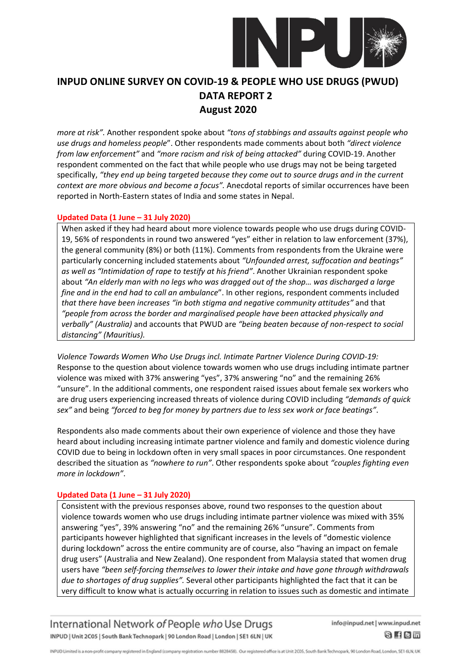

*more at risk".* Another respondent spoke about *"tons of stabbings and assaults against people who use drugs and homeless people*". Other respondents made comments about both *"direct violence from law enforcement"* and *"more racism and risk of being attacked"* during COVID-19. Another respondent commented on the fact that while people who use drugs may not be being targeted specifically, *"they end up being targeted because they come out to source drugs and in the current context are more obvious and become a focus".* Anecdotal reports of similar occurrences have been reported in North-Eastern states of India and some states in Nepal.

#### **Updated Data (1 June – 31 July 2020)**

When asked if they had heard about more violence towards people who use drugs during COVID-19, 56% of respondents in round two answered "yes" either in relation to law enforcement (37%), the general community (8%) or both (11%). Comments from respondents from the Ukraine were particularly concerning included statements about *"Unfounded arrest, suffocation and beatings" as well as "Intimidation of rape to testify at his friend"*. Another Ukrainian respondent spoke about *"An elderly man with no legs who was dragged out of the shop… was discharged a large fine and in the end had to call an ambulance*". In other regions, respondent comments included *that there have been increases "in both stigma and negative community attitudes"* and that *"people from across the border and marginalised people have been attacked physically and verbally" (Australia)* and accounts that PWUD are *"being beaten because of non-respect to social distancing" (Mauritius).*

*Violence Towards Women Who Use Drugs incl. Intimate Partner Violence During COVID-19:* Response to the question about violence towards women who use drugs including intimate partner violence was mixed with 37% answering "yes", 37% answering "no" and the remaining 26% "unsure". In the additional comments, one respondent raised issues about female sex workers who are drug users experiencing increased threats of violence during COVID including *"demands of quick sex"* and being *"forced to beg for money by partners due to less sex work or face beatings"*.

Respondents also made comments about their own experience of violence and those they have heard about including increasing intimate partner violence and family and domestic violence during COVID due to being in lockdown often in very small spaces in poor circumstances. One respondent described the situation as *"nowhere to run"*. Other respondents spoke about *"couples fighting even more in lockdown"*.

### **Updated Data (1 June – 31 July 2020)**

Consistent with the previous responses above, round two responses to the question about violence towards women who use drugs including intimate partner violence was mixed with 35% answering "yes", 39% answering "no" and the remaining 26% "unsure". Comments from participants however highlighted that significant increases in the levels of "domestic violence during lockdown" across the entire community are of course, also "having an impact on female drug users" (Australia and New Zealand). One respondent from Malaysia stated that women drug users have *"been self-forcing themselves to lower their intake and have gone through withdrawals due to shortages of drug supplies".* Several other participants highlighted the fact that it can be very difficult to know what is actually occurring in relation to issues such as domestic and intimate

International Network of People who Use Drugs INPUD | Unit 2C05 | South Bank Technopark | 90 London Road | London | SE1 6LN | UK

info@inpud.net | www.inpud.net

8 f 8 m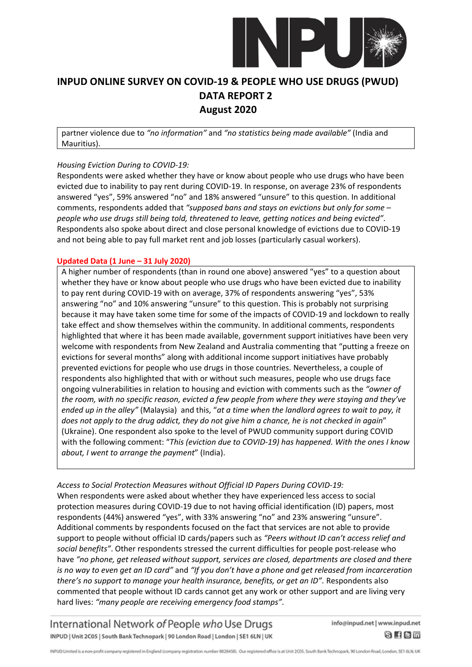

partner violence due to *"no information"* and *"no statistics being made available"* (India and Mauritius).

#### *Housing Eviction During to COVID-19:*

Respondents were asked whether they have or know about people who use drugs who have been evicted due to inability to pay rent during COVID-19. In response, on average 23% of respondents answered "yes", 59% answered "no" and 18% answered "unsure" to this question. In additional comments, respondents added that *"supposed bans and stays on evictions but only for some – people who use drugs still being told, threatened to leave, getting notices and being evicted"*. Respondents also spoke about direct and close personal knowledge of evictions due to COVID-19 and not being able to pay full market rent and job losses (particularly casual workers).

### **Updated Data (1 June – 31 July 2020)**

A higher number of respondents (than in round one above) answered "yes" to a question about whether they have or know about people who use drugs who have been evicted due to inability to pay rent during COVID-19 with on average, 37% of respondents answering "yes", 53% answering "no" and 10% answering "unsure" to this question. This is probably not surprising because it may have taken some time for some of the impacts of COVID-19 and lockdown to really take effect and show themselves within the community. In additional comments, respondents highlighted that where it has been made available, government support initiatives have been very welcome with respondents from New Zealand and Australia commenting that "putting a freeze on evictions for several months" along with additional income support initiatives have probably prevented evictions for people who use drugs in those countries. Nevertheless, a couple of respondents also highlighted that with or without such measures, people who use drugs face ongoing vulnerabilities in relation to housing and eviction with comments such as the *"owner of the room, with no specific reason, evicted a few people from where they were staying and they've ended up in the alley"* (Malaysia) and this, "*at a time when the landlord agrees to wait to pay, it does not apply to the drug addict, they do not give him a chance, he is not checked in again*" (Ukraine). One respondent also spoke to the level of PWUD community support during COVID with the following comment: "*This (eviction due to COVID-19) has happened. With the ones I know about, I went to arrange the payment*" (India).

*Access to Social Protection Measures without Official ID Papers During COVID-19:* When respondents were asked about whether they have experienced less access to social protection measures during COVID-19 due to not having official identification (ID) papers, most respondents (44%) answered "yes", with 33% answering "no" and 23% answering "unsure". Additional comments by respondents focused on the fact that services are not able to provide support to people without official ID cards/papers such as *"Peers without ID can't access relief and social benefits"*. Other respondents stressed the current difficulties for people post-release who have *"no phone, get released without support, services are closed, departments are closed and there is no way to even get an ID card"* and *"If you don't have a phone and get released from incarceration there's no support to manage your health insurance, benefits, or get an ID"*. Respondents also commented that people without ID cards cannot get any work or other support and are living very hard lives: *"many people are receiving emergency food stamps"*.

International Network of People who Use Drugs INPUD | Unit 2C05 | South Bank Technopark | 90 London Road | London | SE1 6LN | UK

info@inpud.net | www.inpud.net

8 f 8 m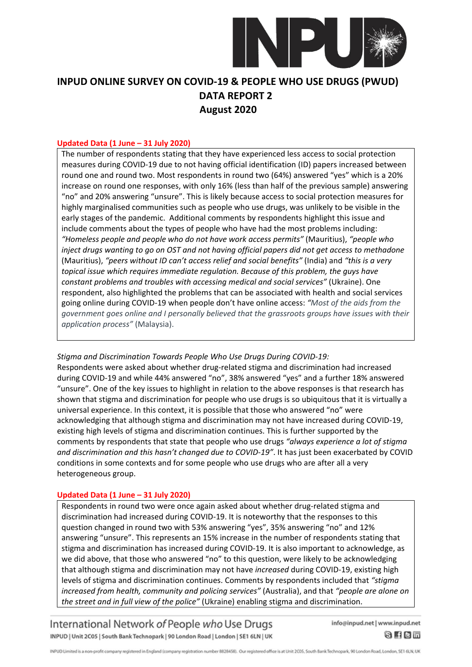

#### **Updated Data (1 June – 31 July 2020)**

The number of respondents stating that they have experienced less access to social protection measures during COVID-19 due to not having official identification (ID) papers increased between round one and round two. Most respondents in round two (64%) answered "yes" which is a 20% increase on round one responses, with only 16% (less than half of the previous sample) answering "no" and 20% answering "unsure". This is likely because access to social protection measures for highly marginalised communities such as people who use drugs, was unlikely to be visible in the early stages of the pandemic. Additional comments by respondents highlight this issue and include comments about the types of people who have had the most problems including: *"Homeless people and people who do not have work access permits"* (Mauritius), *"people who inject drugs wanting to go on OST and not having official papers did not get access to methadone* (Mauritius), *"peers without ID can't access relief and social benefits"* (India) and *"this is a very topical issue which requires immediate regulation. Because of this problem, the guys have constant problems and troubles with accessing medical and social services"* (Ukraine). One respondent, also highlighted the problems that can be associated with health and social services going online during COVID-19 when people don't have online access: *"Most of the aids from the government goes online and I personally believed that the grassroots groups have issues with their application process"* (Malaysia).

#### *Stigma and Discrimination Towards People Who Use Drugs During COVID-19:*

Respondents were asked about whether drug-related stigma and discrimination had increased during COVID-19 and while 44% answered "no", 38% answered "yes" and a further 18% answered "unsure". One of the key issues to highlight in relation to the above responses is that research has shown that stigma and discrimination for people who use drugs is so ubiquitous that it is virtually a universal experience. In this context, it is possible that those who answered "no" were acknowledging that although stigma and discrimination may not have increased during COVID-19, existing high levels of stigma and discrimination continues. This is further supported by the comments by respondents that state that people who use drugs *"always experience a lot of stigma and discrimination and this hasn't changed due to COVID-19"*. It has just been exacerbated by COVID conditions in some contexts and for some people who use drugs who are after all a very heterogeneous group.

#### **Updated Data (1 June – 31 July 2020)**

Respondents in round two were once again asked about whether drug-related stigma and discrimination had increased during COVID-19. It is noteworthy that the responses to this question changed in round two with 53% answering "yes", 35% answering "no" and 12% answering "unsure". This represents an 15% increase in the number of respondents stating that stigma and discrimination has increased during COVID-19. It is also important to acknowledge, as we did above, that those who answered "no" to this question, were likely to be acknowledging that although stigma and discrimination may not have *increased* during COVID-19, existing high levels of stigma and discrimination continues. Comments by respondents included that *"stigma increased from health, community and policing services"* (Australia), and that *"people are alone on the street and in full view of the police"* (Ukraine) enabling stigma and discrimination.

International Network of People who Use Drugs INPUD | Unit 2C05 | South Bank Technopark | 90 London Road | London | SE1 6LN | UK

info@inpud.net | www.inpud.net

 $8$  fem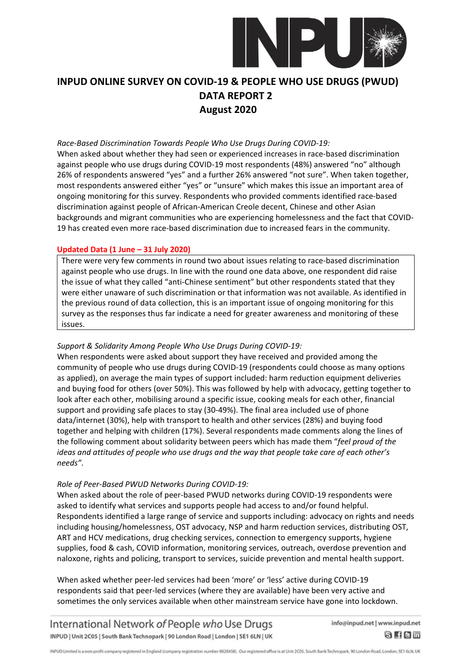

#### *Race-Based Discrimination Towards People Who Use Drugs During COVID-19:*

When asked about whether they had seen or experienced increases in race-based discrimination against people who use drugs during COVID-19 most respondents (48%) answered "no" although 26% of respondents answered "yes" and a further 26% answered "not sure". When taken together, most respondents answered either "yes" or "unsure" which makes this issue an important area of ongoing monitoring for this survey. Respondents who provided comments identified race-based discrimination against people of African-American Creole decent, Chinese and other Asian backgrounds and migrant communities who are experiencing homelessness and the fact that COVID-19 has created even more race-based discrimination due to increased fears in the community.

#### **Updated Data (1 June – 31 July 2020)**

There were very few comments in round two about issues relating to race-based discrimination against people who use drugs. In line with the round one data above, one respondent did raise the issue of what they called "anti-Chinese sentiment" but other respondents stated that they were either unaware of such discrimination or that information was not available. As identified in the previous round of data collection, this is an important issue of ongoing monitoring for this survey as the responses thus far indicate a need for greater awareness and monitoring of these issues.

#### *Support & Solidarity Among People Who Use Drugs During COVID-19:*

When respondents were asked about support they have received and provided among the community of people who use drugs during COVID-19 (respondents could choose as many options as applied), on average the main types of support included: harm reduction equipment deliveries and buying food for others (over 50%). This was followed by help with advocacy, getting together to look after each other, mobilising around a specific issue, cooking meals for each other, financial support and providing safe places to stay (30-49%). The final area included use of phone data/internet (30%), help with transport to health and other services (28%) and buying food together and helping with children (17%). Several respondents made comments along the lines of the following comment about solidarity between peers which has made them "*feel proud of the ideas and attitudes of people who use drugs and the way that people take care of each other's needs"*.

#### *Role of Peer-Based PWUD Networks During COVID-19:*

When asked about the role of peer-based PWUD networks during COVID-19 respondents were asked to identify what services and supports people had access to and/or found helpful. Respondents identified a large range of service and supports including: advocacy on rights and needs including housing/homelessness, OST advocacy, NSP and harm reduction services, distributing OST, ART and HCV medications, drug checking services, connection to emergency supports, hygiene supplies, food & cash, COVID information, monitoring services, outreach, overdose prevention and naloxone, rights and policing, transport to services, suicide prevention and mental health support.

When asked whether peer-led services had been 'more' or 'less' active during COVID-19 respondents said that peer-led services (where they are available) have been very active and sometimes the only services available when other mainstream service have gone into lockdown.

International Network of People who Use Drugs INPUD | Unit 2C05 | South Bank Technopark | 90 London Road | London | SE1 6LN | UK info@inpud.net | www.inpud.net

 $8$  fem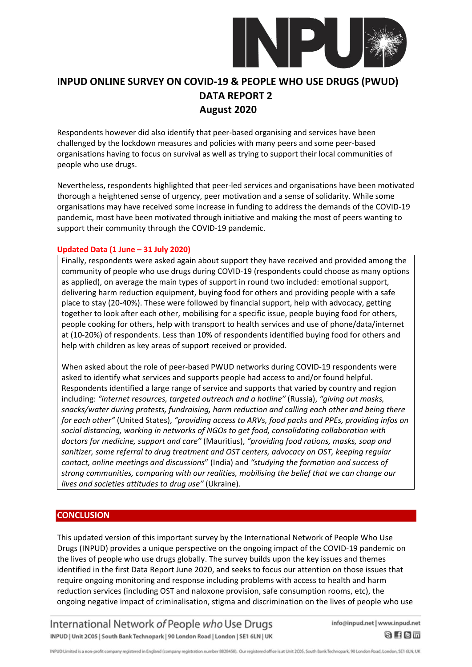

Respondents however did also identify that peer-based organising and services have been challenged by the lockdown measures and policies with many peers and some peer-based organisations having to focus on survival as well as trying to support their local communities of people who use drugs.

Nevertheless, respondents highlighted that peer-led services and organisations have been motivated thorough a heightened sense of urgency, peer motivation and a sense of solidarity. While some organisations may have received some increase in funding to address the demands of the COVID-19 pandemic, most have been motivated through initiative and making the most of peers wanting to support their community through the COVID-19 pandemic.

#### **Updated Data (1 June – 31 July 2020)**

Finally, respondents were asked again about support they have received and provided among the community of people who use drugs during COVID-19 (respondents could choose as many options as applied), on average the main types of support in round two included: emotional support, delivering harm reduction equipment, buying food for others and providing people with a safe place to stay (20-40%). These were followed by financial support, help with advocacy, getting together to look after each other, mobilising for a specific issue, people buying food for others, people cooking for others, help with transport to health services and use of phone/data/internet at (10-20%) of respondents. Less than 10% of respondents identified buying food for others and help with children as key areas of support received or provided.

When asked about the role of peer-based PWUD networks during COVID-19 respondents were asked to identify what services and supports people had access to and/or found helpful. Respondents identified a large range of service and supports that varied by country and region including: *"internet resources, targeted outreach and a hotline"* (Russia), *"giving out masks, snacks/water during protests, fundraising, harm reduction and calling each other and being there for each other"* (United States), *"providing access to ARVs, food packs and PPEs, providing infos on social distancing, working in networks of NGOs to get food, consolidating collaboration with doctors for medicine, support and care"* (Mauritius), *"providing food rations, masks, soap and sanitizer, some referral to drug treatment and OST centers, advocacy on OST, keeping regular contact, online meetings and discussions*" (India) and *"studying the formation and success of strong communities, comparing with our realities, mobilising the belief that we can change our lives and societies attitudes to drug use"* (Ukraine).

#### **CONCLUSION**

This updated version of this important survey by the International Network of People Who Use Drugs (INPUD) provides a unique perspective on the ongoing impact of the COVID-19 pandemic on the lives of people who use drugs globally. The survey builds upon the key issues and themes identified in the first Data Report June 2020, and seeks to focus our attention on those issues that require ongoing monitoring and response including problems with access to health and harm reduction services (including OST and naloxone provision, safe consumption rooms, etc), the ongoing negative impact of criminalisation, stigma and discrimination on the lives of people who use

International Network of People who Use Drugs INPUD | Unit 2C05 | South Bank Technopark | 90 London Road | London | SE1 6LN | UK info@inpud.net | www.inpud.net

8 f 8 m